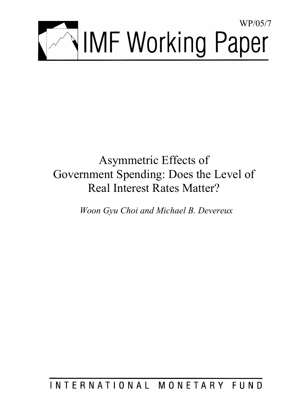

# Asymmetric Effects of Government Spending: Does the Level of Real Interest Rates Matter?

*Woon Gyu Choi and Michael B. Devereux* 

INTERNATIONAL MONETARY FUND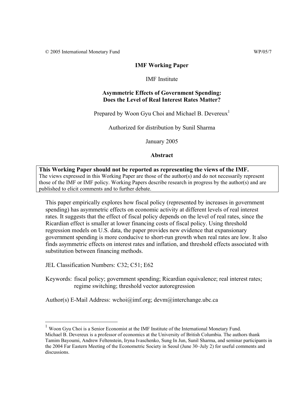© 2005 International Monetary Fund WP/05/7

# **IMF Working Paper**

IMF Institute

# **Asymmetric Effects of Government Spending: Does the Level of Real Interest Rates Matter?**

Prepared by Woon Gyu Choi and Michael B. Devereux<sup>1</sup>

Authorized for distribution by Sunil Sharma

January 2005

# **Abstract**

# **This Working Paper should not be reported as representing the views of the IMF.** The views expressed in this Working Paper are those of the author(s) and do not necessarily represent those of the IMF or IMF policy. Working Papers describe research in progress by the author(s) and are published to elicit comments and to further debate.

This paper empirically explores how fiscal policy (represented by increases in government spending) has asymmetric effects on economic activity at different levels of real interest rates. It suggests that the effect of fiscal policy depends on the level of real rates, since the Ricardian effect is smaller at lower financing costs of fiscal policy. Using threshold regression models on U.S. data, the paper provides new evidence that expansionary government spending is more conducive to short-run growth when real rates are low. It also finds asymmetric effects on interest rates and inflation, and threshold effects associated with substitution between financing methods.

JEL Classification Numbers: C32; C51; E62

1

Keywords: fiscal policy; government spending; Ricardian equivalence; real interest rates; regime switching; threshold vector autoregression

Author(s) E-Mail Address: wchoi@imf.org; devm@interchange.ubc.ca

<sup>1</sup> Woon Gyu Choi is a Senior Economist at the IMF Institute of the International Monetary Fund. Michael B. Devereux is a professor of economics at the University of British Columbia. The authors thank Tamim Bayoumi, Andrew Feltenstein, Iryna Ivaschenko, Sung In Jun, Sunil Sharma, and seminar participants in the 2004 Far Eastern Meeting of the Econometric Society in Seoul (June 30–July 2) for useful comments and discussions.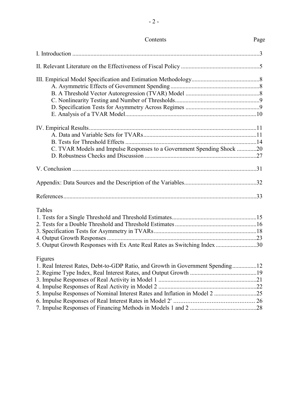| C. TVAR Models and Impulse Responses to a Government Spending Shock 20<br>Tables<br>5. Output Growth Responses with Ex Ante Real Rates as Switching Index 30<br>Figures<br>1. Real Interest Rates, Debt-to-GDP Ratio, and Growth in Government Spending12<br>5. Impulse Responses of Nominal Interest Rates and Inflation in Model 2 25 | Contents | Page |
|-----------------------------------------------------------------------------------------------------------------------------------------------------------------------------------------------------------------------------------------------------------------------------------------------------------------------------------------|----------|------|
|                                                                                                                                                                                                                                                                                                                                         |          |      |
|                                                                                                                                                                                                                                                                                                                                         |          |      |
|                                                                                                                                                                                                                                                                                                                                         |          |      |
|                                                                                                                                                                                                                                                                                                                                         |          |      |
|                                                                                                                                                                                                                                                                                                                                         |          |      |
|                                                                                                                                                                                                                                                                                                                                         |          |      |
|                                                                                                                                                                                                                                                                                                                                         |          |      |
|                                                                                                                                                                                                                                                                                                                                         |          |      |
|                                                                                                                                                                                                                                                                                                                                         |          |      |
|                                                                                                                                                                                                                                                                                                                                         |          |      |
|                                                                                                                                                                                                                                                                                                                                         |          |      |
|                                                                                                                                                                                                                                                                                                                                         |          |      |
|                                                                                                                                                                                                                                                                                                                                         |          |      |
|                                                                                                                                                                                                                                                                                                                                         |          |      |
|                                                                                                                                                                                                                                                                                                                                         |          |      |
|                                                                                                                                                                                                                                                                                                                                         |          |      |
|                                                                                                                                                                                                                                                                                                                                         |          |      |
|                                                                                                                                                                                                                                                                                                                                         |          |      |
|                                                                                                                                                                                                                                                                                                                                         |          |      |
|                                                                                                                                                                                                                                                                                                                                         |          |      |
|                                                                                                                                                                                                                                                                                                                                         |          |      |
|                                                                                                                                                                                                                                                                                                                                         |          |      |
|                                                                                                                                                                                                                                                                                                                                         |          |      |
|                                                                                                                                                                                                                                                                                                                                         |          |      |
|                                                                                                                                                                                                                                                                                                                                         |          |      |
|                                                                                                                                                                                                                                                                                                                                         |          |      |
|                                                                                                                                                                                                                                                                                                                                         |          |      |
|                                                                                                                                                                                                                                                                                                                                         |          |      |
|                                                                                                                                                                                                                                                                                                                                         |          |      |
|                                                                                                                                                                                                                                                                                                                                         |          |      |

- 2 -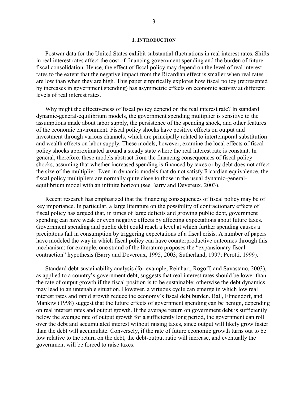#### **I. INTRODUCTION**

Postwar data for the United States exhibit substantial fluctuations in real interest rates. Shifts in real interest rates affect the cost of financing government spending and the burden of future fiscal consolidation. Hence, the effect of fiscal policy may depend on the level of real interest rates to the extent that the negative impact from the Ricardian effect is smaller when real rates are low than when they are high. This paper empirically explores how fiscal policy (represented by increases in government spending) has asymmetric effects on economic activity at different levels of real interest rates.

Why might the effectiveness of fiscal policy depend on the real interest rate? In standard dynamic-general-equilibrium models, the government spending multiplier is sensitive to the assumptions made about labor supply, the persistence of the spending shock, and other features of the economic environment. Fiscal policy shocks have positive effects on output and investment through various channels, which are principally related to intertemporal substitution and wealth effects on labor supply. These models, however, examine the local effects of fiscal policy shocks approximated around a steady state where the real interest rate is constant. In general, therefore, these models abstract from the financing consequences of fiscal policy shocks, assuming that whether increased spending is financed by taxes or by debt does not affect the size of the multiplier. Even in dynamic models that do not satisfy Ricardian equivalence, the fiscal policy multipliers are normally quite close to those in the usual dynamic-generalequilibrium model with an infinite horizon (see Barry and Devereux, 2003).

Recent research has emphasized that the financing consequences of fiscal policy may be of key importance. In particular, a large literature on the possibility of contractionary effects of fiscal policy has argued that, in times of large deficits and growing public debt, government spending can have weak or even negative effects by affecting expectations about future taxes. Government spending and public debt could reach a level at which further spending causes a precipitous fall in consumption by triggering expectations of a fiscal crisis. A number of papers have modeled the way in which fiscal policy can have counterproductive outcomes through this mechanism: for example, one strand of the literature proposes the "expansionary fiscal contraction" hypothesis (Barry and Devereux, 1995, 2003; Sutherland, 1997; Perotti, 1999).

Standard debt-sustainability analysis (for example, Reinhart, Rogoff, and Savastano, 2003), as applied to a country's government debt, suggests that real interest rates should be lower than the rate of output growth if the fiscal position is to be sustainable; otherwise the debt dynamics may lead to an untenable situation. However, a virtuous cycle can emerge in which low real interest rates and rapid growth reduce the economy's fiscal debt burden. Ball, Elmendorf, and Mankiw (1998) suggest that the future effects of government spending can be benign, depending on real interest rates and output growth. If the average return on government debt is sufficiently below the average rate of output growth for a sufficiently long period, the government can roll over the debt and accumulated interest without raising taxes, since output will likely grow faster than the debt will accumulate. Conversely, if the rate of future economic growth turns out to be low relative to the return on the debt, the debt-output ratio will increase, and eventually the government will be forced to raise taxes.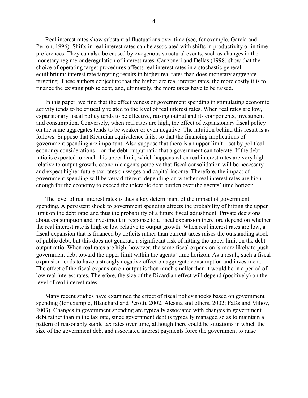Real interest rates show substantial fluctuations over time (see, for example, Garcia and Perron, 1996). Shifts in real interest rates can be associated with shifts in productivity or in time preferences. They can also be caused by exogenous structural events, such as changes in the monetary regime or deregulation of interest rates. Canzoneri and Dellas (1998) show that the choice of operating target procedures affects real interest rates in a stochastic general equilibrium: interest rate targeting results in higher real rates than does monetary aggregate targeting. These authors conjecture that the higher are real interest rates, the more costly it is to finance the existing public debt, and, ultimately, the more taxes have to be raised.

In this paper, we find that the effectiveness of government spending in stimulating economic activity tends to be critically related to the level of real interest rates. When real rates are low, expansionary fiscal policy tends to be effective, raising output and its components, investment and consumption. Conversely, when real rates are high, the effect of expansionary fiscal policy on the same aggregates tends to be weaker or even negative. The intuition behind this result is as follows. Suppose that Ricardian equivalence fails, so that the financing implications of government spending are important. Also suppose that there is an upper limit—set by political economy considerations—on the debt-output ratio that a government can tolerate. If the debt ratio is expected to reach this upper limit, which happens when real interest rates are very high relative to output growth, economic agents perceive that fiscal consolidation will be necessary and expect higher future tax rates on wages and capital income. Therefore, the impact of government spending will be very different, depending on whether real interest rates are high enough for the economy to exceed the tolerable debt burden over the agents' time horizon.

The level of real interest rates is thus a key determinant of the impact of government spending. A persistent shock to government spending affects the probability of hitting the upper limit on the debt ratio and thus the probability of a future fiscal adjustment. Private decisions about consumption and investment in response to a fiscal expansion therefore depend on whether the real interest rate is high or low relative to output growth. When real interest rates are low, a fiscal expansion that is financed by deficits rather than current taxes raises the outstanding stock of public debt, but this does not generate a significant risk of hitting the upper limit on the debtoutput ratio. When real rates are high, however, the same fiscal expansion is more likely to push government debt toward the upper limit within the agents' time horizon. As a result, such a fiscal expansion tends to have a strongly negative effect on aggregate consumption and investment. The effect of the fiscal expansion on output is then much smaller than it would be in a period of low real interest rates. Therefore, the size of the Ricardian effect will depend (positively) on the level of real interest rates.

Many recent studies have examined the effect of fiscal policy shocks based on government spending (for example, Blanchard and Perotti, 2002; Alesina and others, 2002; Fatás and Mihov, 2003). Changes in government spending are typically associated with changes in government debt rather than in the tax rate, since government debt is typically managed so as to maintain a pattern of reasonably stable tax rates over time, although there could be situations in which the size of the government debt and associated interest payments force the government to raise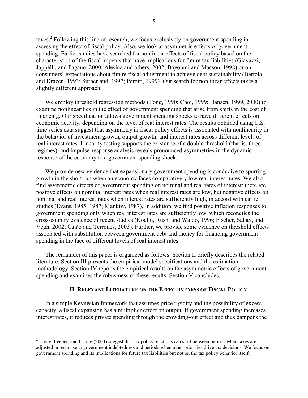taxes.<sup>2</sup> Following this line of research, we focus exclusively on government spending in assessing the effect of fiscal policy. Also, we look at asymmetric effects of government spending. Earlier studies have searched for nonlinear effects of fiscal policy based on the characteristics of the fiscal impetus that have implications for future tax liabilities (Giavazzi, Jappelli, and Pagano, 2000; Alesina and others, 2002; Bayoumi and Masson, 1998) or on consumers' expectations about future fiscal adjustment to achieve debt sustainability (Bertola and Drazen, 1993; Sutherland, 1997; Perotti, 1999). Our search for nonlinear effects takes a slightly different approach.

We employ threshold regression methods (Tong, 1990; Choi, 1999; Hansen, 1999, 2000) to examine nonlinearities in the effect of government spending that arise from shifts in the cost of financing. Our specification allows government spending shocks to have different effects on economic activity, depending on the level of real interest rates. The results obtained using U.S. time series data suggest that asymmetry in fiscal policy effects is associated with nonlinearity in the behavior of investment growth, output growth, and interest rates across different levels of real interest rates. Linearity testing supports the existence of a double threshold (that is, three regimes), and impulse-response analysis reveals pronounced asymmetries in the dynamic response of the economy to a government spending shock.

We provide new evidence that expansionary government spending is conducive to spurring growth in the short run when an economy faces comparatively low real interest rates. We also find asymmetric effects of government spending on nominal and real rates of interest: there are positive effects on nominal interest rates when real interest rates are low, but negative effects on nominal and real interest rates when interest rates are sufficiently high, in accord with earlier studies (Evans, 1985, 1987; Mankiw, 1987). In addition, we find positive inflation responses to government spending only when real interest rates are sufficiently low, which reconciles the cross-country evidence of recent studies (Koelln, Rush, and Waldo, 1996; Fischer, Sahay, and Végh, 2002; Catão and Terrones, 2003). Further, we provide some evidence on threshold effects associated with substitution between government debt and money for financing government spending in the face of different levels of real interest rates.

The remainder of this paper is organized as follows. Section II briefly describes the related literature. Section III presents the empirical model specifications and the estimation methodology. Section IV reports the empirical results on the asymmetric effects of government spending and examines the robustness of these results. Section V concludes.

# **II. RELEVANT LITERATURE ON THE EFFECTIVENESS OF FISCAL POLICY**

In a simple Keynesian framework that assumes price rigidity and the possibility of excess capacity, a fiscal expansion has a multiplier effect on output. If government spending increases interest rates, it reduces private spending through the crowding-out effect and thus dampens the

l

 $2^{2}$  Davig, Leeper, and Chung (2004) suggest that tax policy reactions can shift between periods when taxes are adjusted in response to government indebtedness and periods when other priorities drive tax decisions. We focus on government spending and its implications for future tax liabilities but not on the tax policy behavior itself.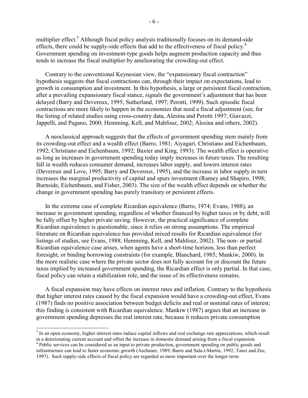multiplier effect.<sup>3</sup> Although fiscal policy analysis traditionally focuses on its demand-side effects, there could be supply-side effects that add to the effectiveness of fiscal policy.<sup>4</sup> Government spending on investment-type goods helps augment production capacity and thus tends to increase the fiscal multiplier by ameliorating the crowding-out effect.

Contrary to the conventional Keynesian view, the "expansionary fiscal contraction" hypothesis suggests that fiscal contractions can, through their impact on expectations, lead to growth in consumption and investment. In this hypothesis, a large or persistent fiscal contraction, after a prevailing expansionary fiscal stance, signals the government's adjustment that has been delayed (Barry and Devereux, 1995; Sutherland, 1997; Perotti, 1999). Such episodic fiscal contractions are more likely to happen in the economies that need a fiscal adjustment (see, for the listing of related studies using cross-country data, Alesina and Perotti 1997; Giavazzi, Jappelli, and Pagano, 2000; Hemming, Kell, and Mahfouz, 2002; Alesina and others, 2002).

A neoclassical approach suggests that the effects of government spending stem mainly from its crowding-out effect and a wealth effect (Barro, 1981; Aiyagari, Christiano and Eichenbaum, 1992; Christiano and Eichenbaum, 1992; Baxter and King, 1993). The wealth effect is operative as long as increases in government spending today imply increases in future taxes. The resulting fall in wealth reduces consumer demand, increases labor supply, and lowers interest rates (Devereux and Love, 1995; Barry and Devereux, 1995), and the increase in labor supply in turn increases the marginal productivity of capital and spurs investment (Ramey and Shapiro, 1998; Burnside, Eichenbaum, and Fisher, 2003). The size of the wealth effect depends on whether the change in government spending has purely transitory or persistent effects.

In the extreme case of complete Ricardian equivalence (Barro, 1974; Evans, 1988), an increase in government spending, regardless of whether financed by higher taxes or by debt, will be fully offset by higher private saving. However, the practical significance of complete Ricardian equivalence is questionable, since it relies on strong assumptions. The empirical literature on Ricardian equivalence has provided mixed results for Ricardian equivalence (for listings of studies, see Evans, 1988; Hemming, Kell, and Mahfouz, 2002). The non- or partial Ricardian equivalence case arises, when agents have a short-time horizon, less than perfect foresight, or binding borrowing constraints (for example, Blanchard, 1985; Mankiw, 2000). In the more realistic case where the private sector does not fully account for or discount the future taxes implied by increased government spending, the Ricardian effect is only partial. In that case, fiscal policy can retain a stabilization role, and the issue of its effectiveness remains.

A fiscal expansion may have effects on interest rates and inflation. Contrary to the hypothesis that higher interest rates caused by the fiscal expansion would have a crowding-out effect, Evans (1987) finds no positive association between budget deficits and real or nominal rates of interest; this finding is consistent with Ricardian equivalence. Mankiw (1987) argues that an increase in government spending depresses the real interest rate, because it reduces private consumption

 $3$  In an open economy, higher interest rates induce capital inflows and real exchange rate appreciations, which result in a deteriorating current account and offset the increase in domestic demand arising from a fiscal expansion.

<sup>&</sup>lt;sup>4</sup> Public services can be considered as an input to private production, government spending on public goods and infrastructure can lead to faster economic growth (Aschauer, 1989; Barro and Sala-i-Martin, 1992; Tanzi and Zee, 1997). Such supply-side effects of fiscal policy are regarded as more important over the longer term.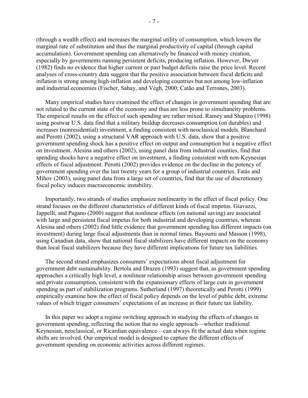(through a wealth effect) and increases the marginal utility of consumption, which lowers the marginal rate of substitution and thus the marginal productivity of capital (through capital accumulation). Government spending can alternatively be financed with money creation, especially by governments running persistent deficits, producing inflation. However, Dwyer (1982) finds no evidence that higher current or past budget deficits raise the price level. Recent analyses of cross-country data suggest that the positive association between fiscal deficits and inflation is strong among high-inflation and developing countries but not among low-inflation and industrial economies (Fischer, Sahay, and Végh, 2000; Catão and Terrones, 2003).

Many empirical studies have examined the effect of changes in government spending that are not related to the current state of the economy and thus are less prone to simultaneity problems. The empirical results on the effect of such spending are rather mixed. Ramey and Shapiro (1998) using postwar U.S. data find that a military buildup decreases consumption (on durables) and increases (nonresidential) investment, a finding consistent with neoclassical models. Blanchard and Perotti (2002), using a structural VAR approach with U.S. data, show that a positive government spending shock has a positive effect on output and consumption but a negative effect on investment. Alesina and others (2002), using panel data from industrial counties, find that spending shocks have a negative effect on investment, a finding consistent with non-Keynesian effects of fiscal adjustment. Perotti (2002) provides evidence on the decline in the potency of government spending over the last twenty years for a group of industrial countries. Fatás and Mihov (2003), using panel data from a large set of countries, find that the use of discretionary fiscal policy induces macroeconomic instability.

Importantly, two strands of studies emphasize nonlinearity in the effect of fiscal policy. One strand focuses on the different characteristics of different kinds of fiscal impetus. Giavazzi, Jappelli, and Pagano (2000) suggest that nonlinear effects (on national saving) are associated with large and persistent fiscal impetus for both industrial and developing countries, whereas Alesina and others (2002) find little evidence that government spending has different impacts (on investment) during large fiscal adjustments than in normal times. Bayoumi and Masson (1998), using Canadian data, show that national fiscal stabilizers have different impacts on the economy than local fiscal stabilizers because they have different implications for future tax liabilities.

The second strand emphasizes consumers' expectations about fiscal adjustment for government debt sustainability. Bertola and Drazen (1993) suggest that, as government spending approaches a critically high level, a nonlinear relationship arises between government spending and private consumption, consistent with the expansionary effects of large cuts in government spending as part of stabilization programs. Sutherland (1997) theoretically and Perotti (1999) empirically examine how the effect of fiscal policy depends on the level of public debt, extreme values of which trigger consumers' expectations of an increase in their future tax liability.

In this paper we adopt a regime switching approach in studying the effects of changes in government spending, reflecting the notion that no single approach—whether traditional Keynesian, neoclassical, or Ricardian equivalence—can always fit the actual data when regime shifts are involved. Our empirical model is designed to capture the different effects of government spending on economic activities across different regimes.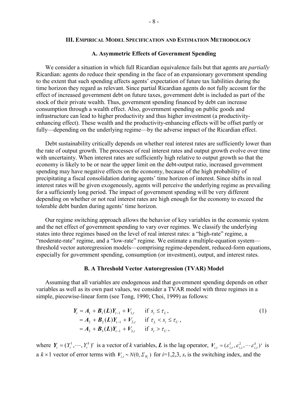## **III. EMPIRICAL MODEL SPECIFICATION AND ESTIMATION METHODOLOGY**

# **A. Asymmetric Effects of Government Spending**

We consider a situation in which full Ricardian equivalence fails but that agents are *partially* Ricardian: agents do reduce their spending in the face of an expansionary government spending to the extent that such spending affects agents' expectation of future tax liabilities during the time horizon they regard as relevant. Since partial Ricardian agents do not fully account for the effect of increased government debt on future taxes, government debt is included as part of the stock of their private wealth. Thus, government spending financed by debt can increase consumption through a wealth effect. Also, government spending on public goods and infrastructure can lead to higher productivity and thus higher investment (a productivityenhancing effect). These wealth and the productivity-enhancing effects will be offset partly or fully—depending on the underlying regime—by the adverse impact of the Ricardian effect.

Debt sustainability critically depends on whether real interest rates are sufficiently lower than the rate of output growth. The processes of real interest rates and output growth evolve over time with uncertainty. When interest rates are sufficiently high relative to output growth so that the economy is likely to be or near the upper limit on the debt-output ratio, increased government spending may have negative effects on the economy, because of the high probability of precipitating a fiscal consolidation during agents' time horizon of interest. Since shifts in real interest rates will be given exogenously, agents will perceive the underlying regime as prevailing for a sufficiently long period. The impact of government spending will be very different depending on whether or not real interest rates are high enough for the economy to exceed the tolerable debt burden during agents' time horizon.

Our regime switching approach allows the behavior of key variables in the economic system and the net effect of government spending to vary over regimes. We classify the underlying states into three regimes based on the level of real interest rates: a "high-rate" regime, a "moderate-rate" regime, and a "low-rate" regime. We estimate a multiple-equation system threshold vector autoregression models—comprising regime-dependent, reduced-form equations, especially for government spending, consumption (or investment), output, and interest rates.

#### **B. A Threshold Vector Autoregression (TVAR) Model**

Assuming that all variables are endogenous and that government spending depends on other variables as well as its own past values, we consider a TVAR model with three regimes in a simple, piecewise-linear form (see Tong, 1990; Choi, 1999) as follows:

$$
Y_{t} = A_{1} + B_{1}(L)Y_{t-1} + V_{1,t} \quad \text{if } s_{t} \leq \tau_{L},
$$
  
\n
$$
= A_{2} + B_{2}(L)Y_{t-1} + V_{2,t} \quad \text{if } \tau_{L} < s_{t} \leq \tau_{U},
$$
  
\n
$$
= A_{3} + B_{3}(L)Y_{t-1} + V_{3,t} \quad \text{if } s_{t} > \tau_{U},
$$
\n(1)

where  $Y_t = (Y_t^1, \dots, Y_t^k)$  is a vector of *k* variables, *L* is the lag operator,  $V_{i,t} = (\varepsilon_{i,t}^1, \varepsilon_{i,t}^2, \dots, \varepsilon_{i,t}^k)$  is a  $k \times 1$  vector of error terms with  $V_{i,t} \sim N(0, \Sigma_{V_t})$  for  $i=1,2,3$ ,  $s_t$  is the switching index, and the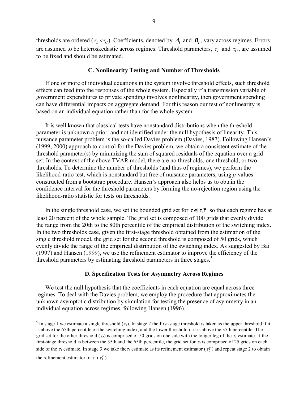thresholds are ordered ( $\tau_L < \tau_U$ ). Coefficients, denoted by  $A_i$  and  $B_i$ , vary across regimes. Errors are assumed to be heteroskedastic across regimes. Threshold parameters,  $\tau_L$  and  $\tau_U$ , are assumed to be fixed and should be estimated.

## **C. Nonlinearity Testing and Number of Thresholds**

 If one or more of individual equations in the system involve threshold effects, such threshold effects can feed into the responses of the whole system. Especially if a transmission variable of government expenditures to private spending involves nonlinearity, then government spending can have differential impacts on aggregate demand. For this reason our test of nonlinearity is based on an individual equation rather than for the whole system.

It is well known that classical tests have nonstandard distributions when the threshold parameter is unknown a priori and not identified under the null hypothesis of linearity. This nuisance parameter problem is the so-called Davies problem (Davies, 1987). Following Hansen's (1999, 2000) approach to control for the Davies problem, we obtain a consistent estimate of the threshold parameter(s) by minimizing the sum of squared residuals of the equation over a grid set. In the context of the above TVAR model, there are no thresholds, one threshold, or two thresholds. To determine the number of thresholds (and thus of regimes), we perform the likelihood-ratio test, which is nonstandard but free of nuisance parameters, using *p*-values constructed from a bootstrap procedure. Hansen's approach also helps us to obtain the confidence interval for the threshold parameters by forming the no-rejection region using the likelihood-ratio statistic for tests on thresholds.

In the single threshold case, we set the bounded grid set for  $\tau \in [\tau, \overline{\tau}]$  so that each regime has at least 20 percent of the whole sample. The grid set is composed of 100 grids that evenly divide the range from the 20th to the 80th percentile of the empirical distribution of the switching index. In the two thresholds case, given the first-stage threshold obtained from the estimation of the single threshold model, the grid set for the second threshold is composed of 50 grids, which evenly divide the range of the empirical distribution of the switching index. As suggested by Bai (1997) and Hansen (1999), we use the refinement estimator to improve the efficiency of the threshold parameters by estimating threshold parameters in three stages.<sup>5</sup>

### **D. Specification Tests for Asymmetry Across Regimes**

We test the null hypothesis that the coefficients in each equation are equal across three regimes. To deal with the Davies problem, we employ the procedure that approximates the unknown asymptotic distribution by simulation for testing the presence of asymmetry in an individual equation across regimes, following Hansen (1996).

<sup>&</sup>lt;sup>5</sup> In stage 1 we estimate a single threshold  $(\tau_1)$ . In stage 2 the first-stage threshold is taken as the upper threshold if it is above the 65th percentile of the switching index, and the lower threshold if it is above the 35th percentile. The grid set for the other threshold ( $\tau$ ) is comprised of 50 grids on one side with the longer leg of the  $\tau_1$  estimate. If the first-stage threshold is between the 35th and the 65th percentile, the grid set for  $\tau_2$  is comprised of 25 grids on each side of the  $\tau_1$  estimate. In stage 3 we take the  $\tau_2$  estimate as its refinement estimator ( $\tau_2^r$ ) and repeat stage 2 to obtain the refinement estimator of  $\tau_1$  ( $\tau_1^r$ ).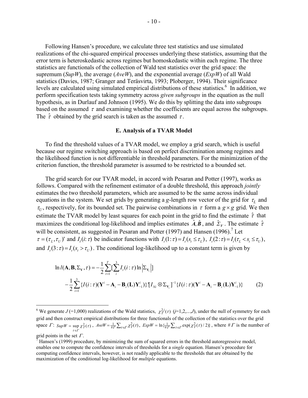Following Hansen's procedure, we calculate three test statistics and use simulated realizations of the chi-squared empirical processes underlying these statistics, assuming that the error term is heteroskedastic across regimes but homoskedastic within each regime. The three statistics are functionals of the collection of Wald test statistics over the grid space: the supremum (*SupW*), the average (*AveW*), and the exponential average (*ExpW*) of all Wald statistics (Davies, 1987; Granger and Teräsvirta, 1993; Ploberger, 1994). Their significance levels are calculated using simulated empirical distributions of these statistics.<sup>6</sup> In addition, we perform specification tests taking symmetry across *given subgroups* in the equation as the null hypothesis, as in Durlauf and Johnson (1995). We do this by splitting the data into subgroups based on the assumed  $\tau$  and examining whether the coefficients are equal across the subgroups. The  $\hat{\tau}$  obtained by the grid search is taken as the assumed  $\tau$ .

# **E. Analysis of a TVAR Model**

 To find the threshold values of a TVAR model, we employ a grid search, which is useful because our regime switching approach is based on perfect discrimination among regimes and the likelihood function is not differentiable in threshold parameters. For the minimization of the criterion function, the threshold parameter is assumed to be restricted to a bounded set.

 The grid search for our TVAR model, in accord with Pesaran and Potter (1997), works as follows. Compared with the refinement estimator of a double threshold, this approach *jointly* estimates the two threshold parameters, which are assumed to be the same across individual equations in the system. We set grids by generating a *g*-length row vector of the grid for  $\tau_L$  and  $\tau_U$ , respectively, for its bounded set. The pairwise combinations in  $\tau$  form a  $g \times g$  grid. We then estimate the TVAR model by least squares for each point in the grid to find the estimate  $\hat{\tau}$  that maximizes the conditional log-likelihood and implies estimates  $\hat{A}$ ,  $\hat{B}$ , and  $\hat{\Sigma}_V$ . The estimate  $\hat{\tau}$ will be consistent, as suggested in Pesaran and Potter (1997) and Hansen (1996).<sup>7</sup> Let  $\tau = (\tau_L, \tau_U)$  and  $I_t(i; \tau)$  be indicator functions with  $I_t(1; \tau) = I_t(s_t \leq \tau_L)$ ,  $I_t(2; \tau) = I_t(\tau_L < s_t \leq \tau_U)$ , and  $I_t(3:\tau) = I_t(s_t > \tau_U)$ . The conditional log-likelihood up to a constant term is given by

$$
\ln l(\mathbf{A}, \mathbf{B}, \Sigma_{\mathbf{v}}, \tau) = -\frac{1}{2} \sum_{i=1}^{T} \left[ \sum_{i=1}^{3} I_{i}(i:\tau) \ln \left| \Sigma_{\mathbf{v}_{i}} \right| \right]
$$

$$
-\frac{1}{2} \sum_{i=1}^{3} \left\{ I(i:\tau) (\mathbf{Y}^{i} - \mathbf{A}_{i} - \mathbf{B}_{i}(\mathbf{L}) \mathbf{Y}_{-1}^{i}) \right\} \left[ I_{Ni} \otimes \Sigma_{\mathbf{v}_{i}} \right]^{-1} \left\{ I(i:\tau) (\mathbf{Y}^{i} - \mathbf{A}_{i} - \mathbf{B}_{i}(\mathbf{L}) \mathbf{Y}_{-1}^{i}) \right\} \tag{2}
$$

<sup>&</sup>lt;sup>6</sup> We generate  $J$  (=1,000) realizations of the Wald statistics,  $\chi^{2j}_{T}(\tau)$  (*j*=1,2,...,*J*), under the null of symmetry for each grid and then construct empirical distributions for three functionals of the collection of the statistics over the grid space  $\Gamma$ :  $\text{Sup } W = \sup_{\tau \in \Gamma} \chi^2_T(\tau)$ ,  $AveW = \frac{1}{\# \Gamma} \sum_{\tau \in \Gamma} \chi^2_T(\tau)$ ,  $\text{Exp } W = \ln \{\frac{1}{\# \Gamma} \sum_{\tau \in \Gamma} \exp(\chi^2_T(\tau)/2) \}$ , where  $\# \Gamma$  is the number of grid points in the set  $\Gamma$ .

 $H^{\dagger}$  Hansen's (1999) procedure, by minimizing the sum of squared errors in the threshold autoregressive model, enables one to compute the confidence intervals of thresholds for a *single* equation. Hansen's procedure for computing confidence intervals, however, is not readily applicable to the thresholds that are obtained by the maximization of the conditional log-likelihood for *multiple* equations.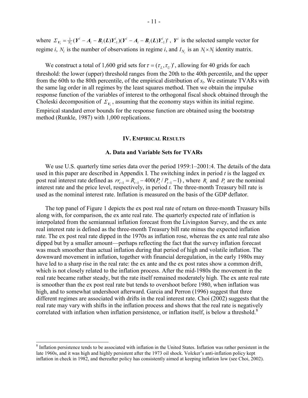where  $\Sigma_{V_i} = \frac{1}{N_i} (Y^i - A_i - B_i(L)Y_{-1}^i)(Y^i - A_i - B_i(L)Y_{-1}^i)$ ,  $Y^i$  is the selected sample vector for regime *i*,  $N_i$  is the number of observations in regime *i*, and  $I_{N_i}$  is an  $N_i \times N_i$  identity matrix.

We construct a total of 1,600 grid sets for  $\tau = (\tau_L, \tau_U)$ ', allowing for 40 grids for each threshold: the lower (upper) threshold ranges from the 20th to the 40th percentile, and the upper from the 60th to the 80th percentile, of the empirical distribution of *st*. We estimate TVARs with the same lag order in all regimes by the least squares method. Then we obtain the impulse response function of the variables of interest to the orthogonal fiscal shock obtained through the Choleski decomposition of  $\Sigma_{V_i}$ , assuming that the economy stays within its initial regime. Empirical standard error bounds for the response function are obtained using the bootstrap method (Runkle, 1987) with 1,000 replications.

#### **IV. EMPIRICAL RESULTS**

### **A. Data and Variable Sets for TVARs**

We use U.S. quarterly time series data over the period 1959:1–2001:4. The details of the data used in this paper are described in Appendix I. The switching index in period *t* is the lagged ex post real interest rate defined as  $rr_{t-1} = R_{t-1} - 400(P_t/P_{t-1} - 1)$ , where  $R_t$  and  $P_t$  are the nominal interest rate and the price level, respectively, in period *t.* The three-month Treasury bill rate is used as the nominal interest rate. Inflation is measured on the basis of the GDP deflator.

The top panel of Figure 1 depicts the ex post real rate of return on three-month Treasury bills along with, for comparison, the ex ante real rate. The quarterly expected rate of inflation is interpolated from the semiannual inflation forecast from the Livingston Survey, and the ex ante real interest rate is defined as the three-month Treasury bill rate minus the expected inflation rate. The ex post real rate dipped in the 1970s as inflation rose, whereas the ex ante real rate also dipped but by a smaller amount—perhaps reflecting the fact that the survey inflation forecast was much smoother than actual inflation during that period of high and volatile inflation. The downward movement in inflation, together with financial deregulation, in the early 1980s may have led to a sharp rise in the real rate: the ex ante and the ex post rates show a common drift, which is not closely related to the inflation process. After the mid-1980s the movement in the real rate became rather steady, but the rate itself remained moderately high. The ex ante real rate is smoother than the ex post real rate but tends to overshoot before 1980, when inflation was high, and to somewhat undershoot afterward. Garcia and Perron (1996) suggest that three different regimes are associated with drifts in the real interest rate. Choi (2002) suggests that the real rate may vary with shifts in the inflation process and shows that the real rate is negatively correlated with inflation when inflation persistence, or inflation itself, is below a threshold.<sup>8</sup>

<sup>&</sup>lt;sup>8</sup> Inflation persistence tends to be associated with inflation in the United States. Inflation was rather persistent in the late 1960s, and it was high and highly persistent after the 1973 oil shock. Volcker's anti-inflation policy kept inflation in check in 1982, and thereafter policy has consistently aimed at keeping inflation low (see Choi, 2002).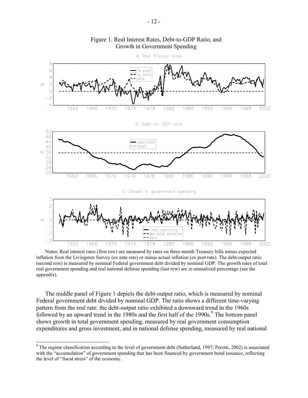

Figure 1. Real Interest Rates, Debt-to-GDP Ratio, and Growth in Government Spending

Notes: Real interest rates (first row) are measured by rates on three-month Treasury bills minus expected inflation from the Livingston Survey (ex ante rate) or minus actual inflation (ex post rate). The debt-output ratio (second row) is measured by nominal Federal government debt divided by nominal GDP. The growth rates of total real government spending and real national defense spending (last row) are in annualized percentage (see the appendix).

The middle panel of Figure 1 depicts the debt-output ratio, which is measured by nominal Federal government debt divided by nominal GDP. The ratio shows a different time-varying pattern from the real rate: the debt-output ratio exhibited a downward trend in the 1960s followed by an upward trend in the  $1980s$  and the first half of the  $1990s$ .<sup>9</sup> The bottom panel shows growth in total government spending, measured by real government consumption expenditures and gross investment, and in national defense spending, measured by real national

 $9$  The regime classification according to the level of government debt (Sutherland, 1997; Perotti, 2002) is associated with the "accumulation" of government spending that has been financed by government bond issuance, reflecting the level of "fiscal stress" of the economy.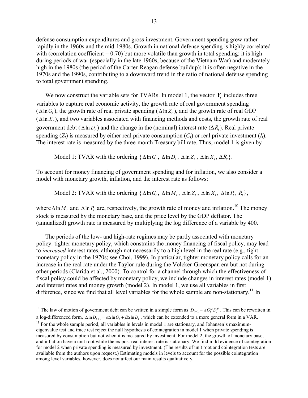defense consumption expenditures and gross investment. Government spending grew rather rapidly in the 1960s and the mid-1980s. Growth in national defense spending is highly correlated with (correlation coefficient  $= 0.70$ ) but more volatile than growth in total spending: it is high during periods of war (especially in the late 1960s, because of the Vietnam War) and moderately high in the 1980s (the period of the Carter-Reagan defense buildup); it is often negative in the 1970s and the 1990s, contributing to a downward trend in the ratio of national defense spending to total government spending.

 We now construct the variable sets for TVARs. In model 1, the vector *Yt* includes three variables to capture real economic activity, the growth rate of real government spending  $(\Delta \ln G)$ , the growth rate of real private spending  $(\Delta \ln Z)$ , and the growth rate of real GDP  $(\Delta \ln X_t)$ , and two variables associated with financing methods and costs, the growth rate of real government debt ( $\Delta \ln D$ ) and the change in the (nominal) interest rate ( $\Delta R$ ). Real private spending  $(Z_t)$  is measured by either real private consumption  $(C_t)$  or real private investment  $(I_t)$ . The interest rate is measured by the three-month Treasury bill rate. Thus, model 1 is given by

Model 1: TVAR with the ordering  $\{\Delta \ln G_t, \, \Delta \ln D_t, \, \Delta \ln Z_t, \, \Delta \ln X_t, \Delta R_t\}.$ 

To account for money financing of government spending and for inflation, we also consider a model with monetary growth, inflation, and the interest rate as follows:

Model 2: TVAR with the ordering  $\{\Delta \ln G_t, \, \Delta \ln M_t, \, \Delta \ln Z_t, \, \Delta \ln X_t, \, \Delta \ln P_t, R_t\},\$ 

where  $\Delta \ln M_t$  and  $\Delta \ln P_t$  are, respectively, the growth rate of money and inflation.<sup>10</sup> The money stock is measured by the monetary base, and the price level by the GDP deflator. The (annualized) growth rate is measured by multiplying the log difference of a variable by 400.

The periods of the low- and high-rate regimes may be partly associated with monetary policy: tighter monetary policy, which constrains the money financing of fiscal policy, may lead to *increased* interest rates, although not necessarily to a high level in the real rate (e.g., tight monetary policy in the 1970s; see Choi, 1999). In particular, tighter monetary policy calls for an increase in the real rate under the Taylor rule during the Volcker-Greenspan era but not during other periods (Clarida et al., 2000). To control for a channel through which the effectiveness of fiscal policy could be affected by monetary policy, we include changes in interest rates (model 1) and interest rates and money growth (model 2). In model 1, we use all variables in first difference, since we find that all level variables for the whole sample are non-stationary.<sup>11</sup> In

<sup>&</sup>lt;sup>10</sup> The law of motion of government debt can be written in a simple form as  $D_{t+1} = AG_t^{\alpha} D_t^{\beta}$ . This can be rewritten in a log-differenced form,  $\Delta \ln D_{t+1} = \alpha \Delta \ln G_t + \beta \Delta \ln D_t$ , which can be extended to a more general form in a VAR.<br><sup>11</sup> For the whole sample period, all variables in levels in model 1 are stationary, and Johansen's maximum-

eigenvalue test and trace test reject the null hypothesis of cointegration in model 1 when private spending is measured by consumption but not when it is measured by investment. For model 2, the growth of monetary base, and inflation have a unit root while the ex post real interest rate is stationary. We find mild evidence of cointegration for model 2 when private spending is measured by investment. (The results of unit root and cointegration tests are available from the authors upon request.) Estimating models in levels to account for the possible cointegration among level variables, however, does not affect our main results qualitatively.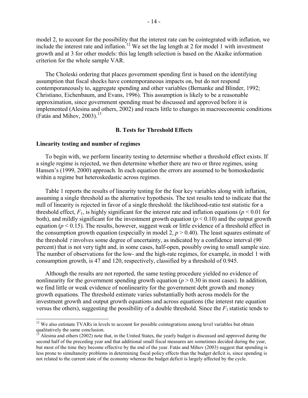model 2, to account for the possibility that the interest rate can be cointegrated with inflation, we include the interest rate and inflation.<sup>12</sup> We set the lag length at 2 for model 1 with investment growth and at 3 for other models: this lag length selection is based on the Akaike information criterion for the whole sample VAR.

 The Choleski ordering that places government spending first is based on the identifying assumption that fiscal shocks have contemporaneous impacts on, but do not respond contemporaneously to, aggregate spending and other variables (Bernanke and Blinder, 1992; Christiano, Eichenbaum, and Evans, 1996). This assumption is likely to be a reasonable approximation, since government spending must be discussed and approved before it is implemented (Alesina and others, 2002) and reacts little to changes in macroeconomic conditions (Fatás and Mihov,  $2003$ ).<sup>13</sup>

# **B. Tests for Threshold Effects**

## **Linearity testing and number of regimes**

 $\overline{a}$ 

To begin with, we perform linearity testing to determine whether a threshold effect exists. If a single regime is rejected, we then determine whether there are two or three regimes, using Hansen's (1999, 2000) approach. In each equation the errors are assumed to be homoskedastic within a regime but heteroskedastic across regimes.

Table 1 reports the results of linearity testing for the four key variables along with inflation, assuming a single threshold as the alternative hypothesis. The test results tend to indicate that the null of linearity is rejected in favor of a single threshold: the likelihood-ratio test statistic for a threshold effect,  $F_1$ , is highly significant for the interest rate and inflation equations ( $p \le 0.01$  for both), and mildly significant for the investment growth equation  $(p < 0.10)$  and the output growth equation ( $p < 0.15$ ). The results, however, suggest weak or little evidence of a threshold effect in the consumption growth equation (especially in model 2,  $p > 0.40$ ). The least squares estimate of the threshold  $\tau$  involves some degree of uncertainty, as indicated by a confidence interval (90) percent) that is not very tight and, in some cases, half-open, possibly owing to small sample size. The number of observations for the low- and the high-rate regimes, for example, in model 1 with consumption growth, is 47 and 120, respectively, classified by a threshold of 0.945.

 Although the results are not reported, the same testing procedure yielded no evidence of nonlinearity for the government spending growth equation ( $p > 0.30$  in most cases). In addition, we find little or weak evidence of nonlinearity for the government debt growth and money growth equations. The threshold estimate varies substantially both across models for the investment growth and output growth equations and across equations (the interest rate equation versus the others), suggesting the possibility of a double threshold. Since the  $F_1$  statistic tends to

 $12$  We also estimate TVARs in levels to account for possible cointegrations among level variables but obtain qualitatively the same conclusion.

<sup>13</sup> Alesina and others (2002) note that, in the United States, the yearly budget is discussed and approved during the second half of the preceding year and that additional small fiscal measures are sometimes decided during the year, but most of the time they become effective by the end of the year. Fatás and Mihov (2003) suggest that spending is less prone to simultaneity problems in determining fiscal policy effects than the budget deficit is, since spending is not related to the current state of the economy whereas the budget deficit is largely affected by the cycle.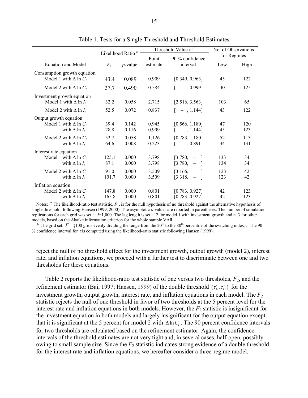|                                                                                    | Likelihood Ratio |                 |                | Threshold Value $\tau^b$                                                                    | No. of Observations |            |
|------------------------------------------------------------------------------------|------------------|-----------------|----------------|---------------------------------------------------------------------------------------------|---------------------|------------|
|                                                                                    |                  |                 | Point          | 90 % confidence                                                                             | for Regimes         |            |
| Equation and Model                                                                 | $F_1$            | <i>p</i> -value | estimate       | interval                                                                                    | Low                 | High       |
| Consumption growth equation<br>Model 1 with $\Delta$ ln $C_t$                      | 43.4             | 0.089           | 0.909          | [0.349, 0.963]                                                                              | 45                  | 122        |
| Model 2 with $\Delta$ ln $C_t$                                                     | 37.7             | 0.490           | 0.584          | $[-, 0.999]$                                                                                | 40                  | 125        |
| Investment growth equation<br>Model 1 with $\Delta$ ln $I_t$                       | 32.2             | 0.058           | 2.715          | [2.516, 3.563]                                                                              | 103                 | 65         |
| Model 2 with $\Delta$ ln $I_t$                                                     | 52.5             | 0.072           | 0.837          | $[-, 1.144]$                                                                                | 43                  | 122        |
| Output growth equation<br>Model 1 with $\Delta$ ln $C_t$<br>with $\Delta$ ln $I_t$ | 39.4<br>28.8     | 0.142<br>0.116  | 0.945<br>0.909 | [0.566, 1.180]<br>$[-, 1.144]$                                                              | 47<br>45            | 120<br>123 |
| Model 2 with $\Delta$ ln $C_t$<br>with $\Delta$ ln $I_t$                           | 52.7<br>64.6     | 0.058<br>0.008  | 1.126<br>0.223 | [0.783, 1.180]<br>$[-, 0.891]$                                                              | 52<br>34            | 113<br>131 |
| Interest rate equation<br>Model 1 with $\Delta$ ln $C_t$<br>with $\Delta$ ln $I_t$ | 125.1<br>87.1    | 0.000<br>0.000  | 3.798<br>3.798 | $\begin{bmatrix} 3.780 & - & 1 \end{bmatrix}$<br>$[3.780, -]$                               | 133<br>134          | 34<br>34   |
| Model 2 with $\Delta$ ln $C_t$<br>with $\Delta$ ln $I_t$                           | 91.0<br>101.7    | 0.000<br>0.000  | 3.509<br>3.509 | $\begin{bmatrix} 3.166, & - \end{bmatrix}$<br>$\begin{bmatrix} 3.318 & - & 1 \end{bmatrix}$ | 123<br>123          | 42<br>42   |
| Inflation equation<br>Model 2 with $\Delta$ ln $C_t$<br>with $\Delta$ ln $I_t$     | 147.8<br>165.8   | 0.000<br>0.000  | 0.801<br>0.801 | [0.783, 0.927]<br>[0.783, 0.927]                                                            | 42<br>42            | 123<br>123 |

Table 1. Tests for a Single Threshold and Threshold Estimates

Notes: <sup>a</sup> The likelihood-ratio test statistic,  $F_1$ , is for the null hypothesis of no threshold against the alternative hypothesis of single threshold, following Hansen (1999, 2000). The asymptotic *p*-values are reported in parentheses. The number of simulation replications for each grid was set at *J*=1,000. The lag length is set at 2 for model 1 with investment growth and at 3 for other models, based on the Akaike information criterion for the whole sample VAR.<br><sup>b</sup> The grid set:  $\Gamma = \{100 \text{ grids evenly dividing the range from the } 20^{\text{th}}$  to the 80<sup>th</sup> percentile of the switching index}. The 90

% confidence interval for <sup>τ</sup> is computed using the likelihood-ratio statistic following Hansen (1999).

reject the null of no threshold effect for the investment growth, output growth (model 2), interest rate, and inflation equations, we proceed with a further test to discriminate between one and two thresholds for these equations.

Table 2 reports the likelihood-ratio test statistic of one versus two thresholds, *F*2, and the refinement estimator (Bai, 1997; Hansen, 1999) of the double threshold  $(\tau_L^r, \tau_U^r)$  for the investment growth, output growth, interest rate, and inflation equations in each model. The  $F<sub>2</sub>$ statistic rejects the null of one threshold in favor of two thresholds at the 5 percent level for the interest rate and inflation equations in both models. However, the  $F_2$  statistic is insignificant for the investment equation in both models and largely insignificant for the output equation except that it is significant at the 5 percent for model 2 with  $\Delta \ln C_t$ . The 90 percent confidence intervals for two thresholds are calculated based on the refinement estimator. Again, the confidence intervals of the threshold estimates are not very tight and, in several cases, half-open, possibly owing to small sample size. Since the  $F_2$  statistic indicates strong evidence of a double threshold for the interest rate and inflation equations, we hereafter consider a three-regime model.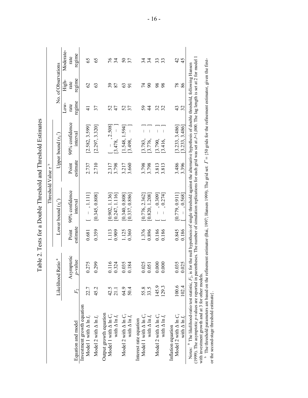|                                                                                                                                                                                                                                                                                                                                                                           |         |                               |          | Threshold Value t                                              | م        |                                                  |        |                     |                  |
|---------------------------------------------------------------------------------------------------------------------------------------------------------------------------------------------------------------------------------------------------------------------------------------------------------------------------------------------------------------------------|---------|-------------------------------|----------|----------------------------------------------------------------|----------|--------------------------------------------------|--------|---------------------|------------------|
|                                                                                                                                                                                                                                                                                                                                                                           |         | Likelihood Ratio <sup>a</sup> |          | Lower bound $(\tau_i)$                                         |          | Upper bound $(\tau_t)$                           |        | No. of Observations |                  |
|                                                                                                                                                                                                                                                                                                                                                                           |         |                               |          |                                                                |          |                                                  | Low-   | High-               | Moderate-        |
|                                                                                                                                                                                                                                                                                                                                                                           |         | Asymptotic                    | Point    | 90% confidence                                                 | Point    | 90% confidence                                   | rate   | rate                | rate             |
| Equation and model                                                                                                                                                                                                                                                                                                                                                        | $F_{2}$ | $p$ -value                    | estimate | interval                                                       | estimate | interval                                         | regime | regime              | regime           |
| Investment growth equation<br>Model 1 with $\Delta \ln I_t$                                                                                                                                                                                                                                                                                                               | 22.7    | 275<br>0                      | 0.681    | $\begin{bmatrix} 1 & 1 & 1 & 1 \\ 1 & 1 & 1 & 1 \end{bmatrix}$ | 2.737    | [2.582, 3.599]                                   | ₹      | $\mathcal{O}$       | 65               |
| Model 2 with $\Delta \ln I_t$                                                                                                                                                                                                                                                                                                                                             | 45.2    | 299<br>0                      | 0.359    | [0.345, 0.808]                                                 | 2.710    | [2.297, 3.320]                                   | 37     | S                   | 65               |
| Output growth equation<br>Model 1 with $\Delta$ ln $C_t$                                                                                                                                                                                                                                                                                                                  | 42.5    | 0.116                         | 1.113    | [0.902, 1.136]                                                 | 2.317    | $-$ , 2.508]                                     | 52     | 39                  |                  |
| with $\Delta \ln I_t$                                                                                                                                                                                                                                                                                                                                                     | 21.1    | 324                           | 0.909    | [0.247, 1.116]                                                 | 3.798    | $\overline{1}$<br>[3.478,                        | 47     | 87                  | $76 \frac{3}{4}$ |
| Model 2 with $\Delta$ ln $C_i$                                                                                                                                                                                                                                                                                                                                            | 64.9    | 035<br>0                      | 1.125    | [0.340, 0.808]                                                 | 3.217    | [1.548, 1.594]                                   | 52     | 3                   | 50               |
| with $\Delta \ln I_t$                                                                                                                                                                                                                                                                                                                                                     | 50.4    | 0.184                         | 0.360    | [0.337, 0.886]                                                 | 3.660    | [3.498,                                          | 37     | $\overline{5}$      | 37               |
| Model 1 with $\Delta$ ln $C_i$<br>Interest rate equation                                                                                                                                                                                                                                                                                                                  | 55.8    | 0.025                         | 1.376    | [0.776, 2.362]                                                 | 3.798    | [3.783,                                          | 59     | 74                  | 34               |
| with $\Delta \ln I_t$                                                                                                                                                                                                                                                                                                                                                     | 33.5    | $-0.51$<br>0                  | 0.896    | [0.820, 1.208]                                                 | 3.798    | $\overline{1}$<br>[3.776,                        | 4      | $\infty$            | 34               |
| Model 2 with $\Delta$ ln $C_i$                                                                                                                                                                                                                                                                                                                                            | 145.9   | 600                           | 0.186    | $-$ , 0.309]                                                   | 3.813    | $\overline{1}$<br>[3.790,                        | 32     | 98                  | 33               |
| with $\Delta\ln I_t$                                                                                                                                                                                                                                                                                                                                                      | 129.3   | 600                           | 0.186    | , 0.274]                                                       | 3.813    | $\begin{array}{c} \hline \end{array}$<br>[3.416, | 32     | 98                  | 33               |
| Model 2 with $\Delta$ ln $C_t$<br>Inflation equation                                                                                                                                                                                                                                                                                                                      | 100.6   | 0.035                         | 0.845    | [0.779, 0.911]                                                 | 3.486    |                                                  | 43     | 78                  |                  |
| with $\Delta \ln I_t$                                                                                                                                                                                                                                                                                                                                                     | 102.4   | 0.025                         | 0.186    | 0.568                                                          | 3.396    | [3.233, 3.486]<br>[3.233, 3.486]                 | 32     | 86                  | 4<br>4<br>4      |
| (1999). The asymptotic <i>p</i> -values are reported in parentheses. The number of simulation replications for each grid was set at J=1,000. The lag length is set at 2 for model<br>Notes: ${}^{4}$ The likelihood-ratio test statistic, $F_2$ , is for the null hypothesis of single threshold against the alternative hypothesis of double threshold, following Hansen |         |                               |          |                                                                |          |                                                  |        |                     |                  |

Table 2. Tests for a Double Threshold and Threshold Estimates Table 2. Tests for a Double Threshold and Threshold Estimates

(1999). The asymptotic *p*-values are reported in parentheses. The number of simulation replications for each grid was set at *J*=1,000. The lag length is set at 2 for model 1 with investment growth and at 3 for other models.

(1999). The asymptonc *p*-vantes are reported in parentieses. The number of simulation replications for each grid was set at  $J-1$ ,000. The rag religion set at 2 for investination and at 3 for other models.<br>with investmen b The threshold parameters are based on the refinement estimator (Bai, 1997; Hansen 1999). The grid set: Γ = {50 grids for the refinement estimator, given the firstor the second-stage threshold estimate}.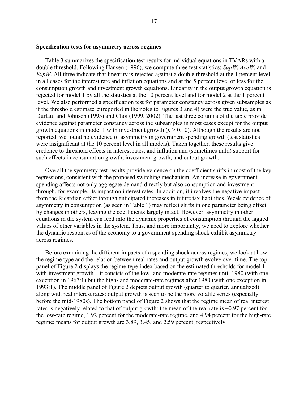## **Specification tests for asymmetry across regimes**

Table 3 summarizes the specification test results for individual equations in TVARs with a double threshold. Following Hansen (1996), we compute three test statistics: *SupW*, *AveW*, and *ExpW*. All three indicate that linearity is rejected against a double threshold at the 1 percent level in all cases for the interest rate and inflation equations and at the 5 percent level or less for the consumption growth and investment growth equations. Linearity in the output growth equation is rejected for model 1 by all the statistics at the 10 percent level and for model 2 at the 1 percent level. We also performed a specification test for parameter constancy across given subsamples as if the threshold estimate  $\tau$  (reported in the notes to Figures 3 and 4) were the true value, as in Durlauf and Johnson (1995) and Choi (1999, 2002). The last three columns of the table provide evidence against parameter constancy across the subsamples in most cases except for the output growth equations in model 1 with investment growth  $(p > 0.10)$ . Although the results are not reported, we found no evidence of asymmetry in government spending growth (test statistics were insignificant at the 10 percent level in all models). Taken together, these results give credence to threshold effects in interest rates, and inflation and (sometimes mild) support for such effects in consumption growth, investment growth, and output growth.

 Overall the symmetry test results provide evidence on the coefficient shifts in most of the key regressions, consistent with the proposed switching mechanism. An increase in government spending affects not only aggregate demand directly but also consumption and investment through, for example, its impact on interest rates. In addition, it involves the negative impact from the Ricardian effect through anticipated increases in future tax liabilities. Weak evidence of asymmetry in consumption (as seen in Table 1) may reflect shifts in one parameter being offset by changes in others, leaving the coefficients largely intact. However, asymmetry in other equations in the system can feed into the dynamic properties of consumption through the lagged values of other variables in the system. Thus, and more importantly, we need to explore whether the dynamic responses of the economy to a government spending shock exhibit asymmetry across regimes.

Before examining the different impacts of a spending shock across regimes, we look at how the regime type and the relation between real rates and output growth evolve over time. The top panel of Figure 2 displays the regime type index based on the estimated thresholds for model 1 with investment growth—it consists of the low- and moderate-rate regimes until 1980 (with one exception in 1967:1) but the high- and moderate-rate regimes after 1980 (with one exception in 1993:1). The middle panel of Figure 2 depicts output growth (quarter to quarter, annualized) along with real interest rates: output growth is seen to be the more volatile series (especially before the mid-1980s). The bottom panel of Figure 2 shows that the regime mean of real interest rates is negatively related to that of output growth: the mean of the real rate is  $-0.97$  percent for the low-rate regime, 1.92 percent for the moderate-rate regime, and 4.94 percent for the high-rate regime; means for output growth are 3.89, 3.45, and 2.59 percent, respectively.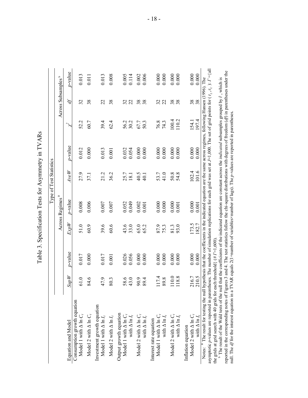Table 3. Specification Tests for Asymmetry in TVARs Table 3. Specification Tests for Asymmetry in TVARs

- 18 -

|                                                                                                                                                                                                                                                                                                                                                                                                                                                                                                                                                                                                            |                |                    |                |                             | Type of Test Statistics |                  |                |                                |                                               |
|------------------------------------------------------------------------------------------------------------------------------------------------------------------------------------------------------------------------------------------------------------------------------------------------------------------------------------------------------------------------------------------------------------------------------------------------------------------------------------------------------------------------------------------------------------------------------------------------------------|----------------|--------------------|----------------|-----------------------------|-------------------------|------------------|----------------|--------------------------------|-----------------------------------------------|
|                                                                                                                                                                                                                                                                                                                                                                                                                                                                                                                                                                                                            |                |                    |                | Across Regimes <sup>a</sup> |                         |                  |                | Across Subsamples <sup>b</sup> |                                               |
| Equation and Model                                                                                                                                                                                                                                                                                                                                                                                                                                                                                                                                                                                         | SupW           | $p$ -value         | ExpW           | $p$ -value                  | $A\nu eW$               | $p$ -value       | لحمر           | Ą                              | $p$ -value                                    |
| Consumption growth equation<br>Model 1 with $\Delta$ ln $C_t$                                                                                                                                                                                                                                                                                                                                                                                                                                                                                                                                              | 61.0           | 0.017              | 51.0           | $0.008$                     | 27.9                    | 0.012            | 52.2           | 32                             | 0.013                                         |
| Model 2 with $\Delta$ ln $C_t$                                                                                                                                                                                                                                                                                                                                                                                                                                                                                                                                                                             | 84.6           | 0.000              | 60.9           | 0.006                       | 37.1                    | 0.000            | 60.7           | 38                             | 0.011                                         |
| Investment growth equation<br>Model 1 with $\Delta \ln I_t$                                                                                                                                                                                                                                                                                                                                                                                                                                                                                                                                                | 47.9           | 0.017              | 39.6           | $0.007$                     | 21.2                    | 0.013            | 39.4           | 22                             | 0.013                                         |
| Model 2 with $\Delta$ ln $I_t$                                                                                                                                                                                                                                                                                                                                                                                                                                                                                                                                                                             | 80.3           | 0.001              | 60.6           | $0.007\,$                   | 36.2                    | 0.001            | 62.4           | 38                             | 0.008                                         |
| Output growth equation<br>Model 1 with $\Delta$ ln $C_t$<br>with $\Delta \ln I_t$                                                                                                                                                                                                                                                                                                                                                                                                                                                                                                                          | 58.6<br>43.0   | 0.056<br>0.026     | 43.6<br>33.0   | 0.052<br>0.049              | 25.7<br>18.1            | 0.032<br>0.054   | 56.2<br>30.2   | 22<br>32                       | $\begin{array}{c} 0.005 \\ 0.114 \end{array}$ |
| Model 2 with $\Delta$ ln $C_t$<br>with $\Delta$<br>In $I_t$                                                                                                                                                                                                                                                                                                                                                                                                                                                                                                                                                | 90.9<br>89.4   | 0.000<br>0.000     | 65.0<br>65.2   | 0.002<br>0.001              | 40.5<br>40.1            | 0.000<br>0.000   | 67.7<br>50.3   | 38<br>${}^{\circ}$             | $0.002$<br>$0.006$                            |
| Model 1 with $\Delta$ ln $C_t$<br>with $\Delta$ ln $I_t$<br>Interest rate equation                                                                                                                                                                                                                                                                                                                                                                                                                                                                                                                         | 117.4<br>89.8  | $0.000$<br>$0.000$ | 87.9<br>75.3   | 0.000<br>0.000              | 53.7<br>41.0            | 0.000<br>$0.000$ | 76.8<br>74.3   | 32<br>22                       | $0.000$<br>$0.000$                            |
| Model 2 with $\Delta$ ln $C_i$<br>with $\Delta \ln I_t$                                                                                                                                                                                                                                                                                                                                                                                                                                                                                                                                                    | 110.0<br>118.8 | $0.000$<br>$0.000$ | 93.0<br>81.3   | 0.000<br>0.001              | 50.8                    | 0.000<br>0.000   | 100.4<br>110.2 | 38<br>$\infty$                 | $0.000$<br>$0.000$                            |
| Model 2 with $\Delta$ ln $C_i$<br>with $\Delta$ ln $I_t$<br>Inflation equation                                                                                                                                                                                                                                                                                                                                                                                                                                                                                                                             | 210.5<br>216.7 | 0.000<br>0.000     | 173.5<br>182.7 | 0.000<br>0.001              | 101.6<br>102.4          | 0.000<br>0.000   | 197.4<br>154.1 | 38                             | 0.000<br>0.000                                |
| asymptotic p-values are reported in parentheses. The number of simulation replications for each grid was set at $J=1,000$ . The set of grid points for ( $\tau_L, \tau_U$ ): $\Gamma = \{all$<br>The result of the Wald tests of the ull that the coefficients of the indicated equation are constructed indicated enhancements consider in it is<br>Notes: <sup>a</sup> The result for testing the null hypothesis that the coefficients in the indicated equation are the same across regimes, following Hansen (1996). The<br>the grids at grid search with 40 grids for each threshold) ( $#I=1,600$ ) |                |                    |                |                             |                         |                  |                |                                |                                               |

<sup>b</sup> The result of the Wald tests of the null that the coefficients of the indicated equation are constant across the *indicated* subsamples grouped by  $\hat{r}$ , which is<br>reported in the corresponding notes of Figures 3 and reported in the corresponding notes of Figures 3 and 4. The test statistics follow the chi-square distributions with degrees of freedom (*df*) in parentheses under the <sup>b</sup> The result of the Wald tests of the null that the coefficients of the indicated equation are constant across the *indicated* subsamples grouped by  $\hat{r}$ , which is null. The *df* for the interest equation in a TVAR equals 2(1+number of variables×number of lags). The *p*-values are reported in parentheses.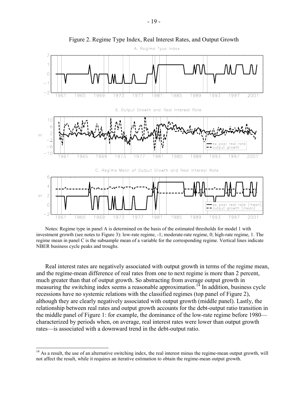

Figure 2. Regime Type Index, Real Interest Rates, and Output Growth

Notes: Regime type in panel A is determined on the basis of the estimated thresholds for model 1 with investment growth (see notes to Figure 3): low-rate regime, -1; moderate-rate regime, 0; high-rate regime, 1. The regime mean in panel C is the subsample mean of a variable for the corresponding regime. Vertical lines indicate NBER business cycle peaks and troughs.

Real interest rates are negatively associated with output growth in terms of the regime mean, and the regime-mean difference of real rates from one to next regime is more than 2 percent, much greater than that of output growth. So abstracting from average output growth in measuring the switching index seems a reasonable approximation.<sup>14</sup> In addition, business cycle recessions have no systemic relations with the classified regimes (top panel of Figure 2), although they are clearly negatively associated with output growth (middle panel). Lastly, the relationship between real rates and output growth accounts for the debt-output ratio transition in the middle panel of Figure 1: for example, the dominance of the low-rate regime before 1980 characterized by periods when, on average, real interest rates were lower than output growth rates—is associated with a downward trend in the debt-output ratio.

 $14$  As a result, the use of an alternative switching index, the real interest minus the regime-mean output growth, will not affect the result, while it requires an iterative estimation to obtain the regime-mean output growth.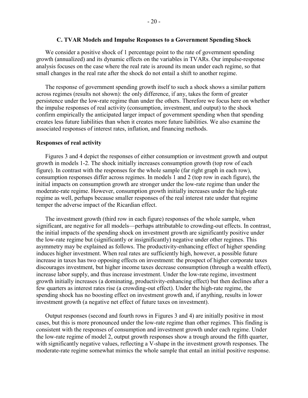## **C. TVAR Models and Impulse Responses to a Government Spending Shock**

We consider a positive shock of 1 percentage point to the rate of government spending growth (annualized) and its dynamic effects on the variables in TVARs. Our impulse-response analysis focuses on the case where the real rate is around its mean under each regime, so that small changes in the real rate after the shock do not entail a shift to another regime.

The response of government spending growth itself to such a shock shows a similar pattern across regimes (results not shown): the only difference, if any, takes the form of greater persistence under the low-rate regime than under the others. Therefore we focus here on whether the impulse responses of real activity (consumption, investment, and output) to the shock confirm empirically the anticipated larger impact of government spending when that spending creates less future liabilities than when it creates more future liabilities. We also examine the associated responses of interest rates, inflation, and financing methods.

#### **Responses of real activity**

Figures 3 and 4 depict the responses of either consumption or investment growth and output growth in models 1-2. The shock initially increases consumption growth (top row of each figure). In contrast with the responses for the whole sample (far right graph in each row), consumption responses differ across regimes. In models 1 and 2 (top row in each figure), the initial impacts on consumption growth are stronger under the low-rate regime than under the moderate-rate regime. However, consumption growth initially increases under the high-rate regime as well, perhaps because smaller responses of the real interest rate under that regime temper the adverse impact of the Ricardian effect.

The investment growth (third row in each figure) responses of the whole sample, when significant, are negative for all models—perhaps attributable to crowding-out effects. In contrast, the initial impacts of the spending shock on investment growth are significantly positive under the low-rate regime but (significantly or insignificantly) negative under other regimes. This asymmetry may be explained as follows. The productivity-enhancing effect of higher spending induces higher investment. When real rates are sufficiently high, however, a possible future increase in taxes has two opposing effects on investment: the prospect of higher corporate taxes discourages investment, but higher income taxes decrease consumption (through a wealth effect), increase labor supply, and thus increase investment. Under the low-rate regime, investment growth initially increases (a dominating, productivity-enhancing effect) but then declines after a few quarters as interest rates rise (a crowding-out effect). Under the high-rate regime, the spending shock has no boosting effect on investment growth and, if anything, results in lower investment growth (a negative net effect of future taxes on investment).

Output responses (second and fourth rows in Figures 3 and 4) are initially positive in most cases, but this is more pronounced under the low-rate regime than other regimes. This finding is consistent with the responses of consumption and investment growth under each regime. Under the low-rate regime of model 2, output growth responses show a trough around the fifth quarter, with significantly negative values, reflecting a V-shape in the investment growth responses. The moderate-rate regime somewhat mimics the whole sample that entail an initial positive response.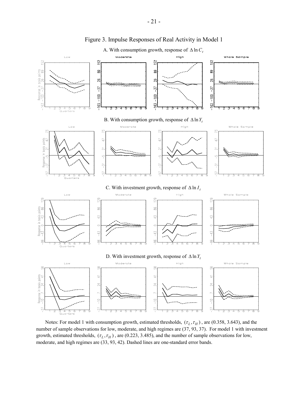

Figure 3. Impulse Responses of Real Activity in Model 1

Notes: For model 1 with consumption growth, estimated thresholds,  $(\tau_L, \tau_H)$ , are (0.358, 3.643), and the number of sample observations for low, moderate, and high regimes are (37, 93, 37). For model 1 with investment growth, estimated thresholds,  $(\tau_L, \tau_H)$ , are (0.223, 3.485), and the number of sample observations for low, moderate, and high regimes are (33, 93, 42). Dashed lines are one-standard error bands.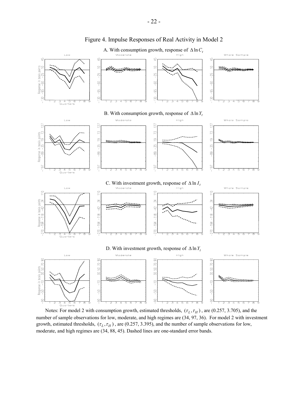

Figure 4. Impulse Responses of Real Activity in Model 2

Notes: For model 2 with consumption growth, estimated thresholds,  $(\tau_L, \tau_H)$ , are (0.257, 3.705), and the number of sample observations for low, moderate, and high regimes are (34, 97, 36). For model 2 with investment growth, estimated thresholds,  $(\tau_L, \tau_H)$ , are (0.257, 3.395), and the number of sample observations for low, moderate, and high regimes are (34, 88, 45). Dashed lines are one-standard error bands.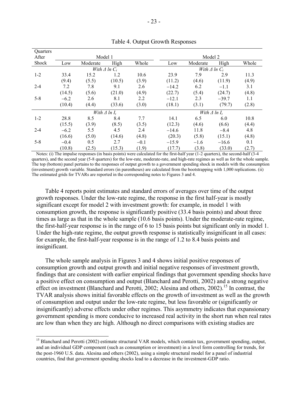| Quarters |        |                        |        |        |         |                        |         |       |  |  |
|----------|--------|------------------------|--------|--------|---------|------------------------|---------|-------|--|--|
| After    |        | Model 1                |        |        |         | Model 2                |         |       |  |  |
| Shock    | Low    | Moderate               | High   | Whole  | Low     | Moderate               | High    | Whole |  |  |
|          |        | With $\Delta$ ln $C_t$ |        |        |         | With $\Delta$ ln $C_t$ |         |       |  |  |
| $1 - 2$  | 33.4   | 15.2                   | 1.2    | 10.6   | 23.9    | 7.9                    | 2.9     | 11.3  |  |  |
|          | (9.4)  | (5.5)                  | (10.5) | (3.9)  | (11.2)  | (4.6)                  | (11.9)  | (4.9) |  |  |
| $2 - 4$  | 7.2    | 7.8                    | 9.1    | 2.6    | $-14.2$ | 6.2                    | $-1.1$  | 3.1   |  |  |
|          | (14.5) | (5.6)                  | (21.0) | (4.9)  | (22.7)  | (5.4)                  | (24.7)  | (4.8) |  |  |
| $5 - 8$  | $-6.2$ | 2.6                    | 8.1    | 2.2    | $-12.1$ | 2.3                    | $-39.7$ | 1.1   |  |  |
|          | (10.4) | (4.4)                  | (33.6) | (3.0)  | (18.1)  | (3.1)                  | (79.7)  | (2.8) |  |  |
|          |        | With $\Delta$ ln $I_t$ |        |        |         | With $\Delta$ ln $I_t$ |         |       |  |  |
| $1 - 2$  | 28.8   | 8.5                    | 8.4    | 7.7    | 14.1    | 6.5                    | 6.0     | 10.8  |  |  |
|          | (15.5) | (3.9)                  | (8.5)  | (3.5)  | (12.3)  | (4.6)                  | (6.6)   | (4.4) |  |  |
| $2 - 4$  | $-6.2$ | 5.5                    | 4.5    | 2.4    | $-14.6$ | 11.8                   | $-8.4$  | 4.8   |  |  |
|          | (16.6) | (5.0)                  | (14.6) | (4.8)  | (20.3)  | (5.8)                  | (15.1)  | (4.8) |  |  |
| $5-8$    | $-0.4$ | 0.5                    | 2.7    | $-0.1$ | $-15.9$ | $-1.6$                 | $-16.6$ | 0.1   |  |  |
|          | (10.8) | (2.5)                  | (15.3) | (1.9)  | (17.7)  | (3.8)                  | (33.0)  | (2.7) |  |  |

Table 4. Output Growth Responses

Notes: (i) The impulse responses (in basis points) were calculated for the first-half year (1-2 quarters), the second-half (3-4 quarters), and the second year (5-8 quarters) for the low-rate, moderate-rate, and high-rate regimes as well as for the whole sample. The top (bottom) panel pertains to the responses of output growth to a government spending shock in models with the consumption (investment) growth variable. Standard errors (in parentheses) are calculated from the bootstrapping with 1,000 replications. (ii) The estimated grids for TVARs are reported in the corresponding notes to Figures 3 and 4.

Table 4 reports point estimates and standard errors of averages over time of the output growth responses. Under the low-rate regime, the response in the first half-year is mostly significant except for model 2 with investment growth: for example, in model 1 with consumption growth, the response is significantly positive (33.4 basis points) and about three times as large as that in the whole sample (10.6 basis points). Under the moderate-rate regime, the first-half-year response is in the range of 6 to 15 basis points but significant only in model 1. Under the high-rate regime, the output growth response is statistically insignificant in all cases: for example, the first-half-year response is in the range of 1.2 to 8.4 basis points and insignificant.

The whole sample analysis in Figures 3 and 4 shows initial positive responses of consumption growth and output growth and initial negative responses of investment growth, findings that are consistent with earlier empirical findings that government spending shocks have a positive effect on consumption and output (Blanchard and Perotti, 2002) and a strong negative effect on investment (Blanchard and Perotti, 2002; Alesina and others, 2002).<sup>15</sup> In contrast, the TVAR analysis shows initial favorable effects on the growth of investment as well as the growth of consumption and output under the low-rate regime, but less favorable or (significantly or insignificantly) adverse effects under other regimes. This asymmetry indicates that expansionary government spending is more conducive to increased real activity in the short run when real rates are low than when they are high. Although no direct comparisons with existing studies are

l

<sup>&</sup>lt;sup>15</sup> Blanchard and Perotti (2002) estimate structural VAR models, which contain tax, government spending, output, and an individual GDP component (such as consumption or investment) in a level form controlling for trends, for the post-1960 U.S. data. Alesina and others (2002), using a simple structural model for a panel of industrial countries, find that government spending shocks lead to a decrease in the investment-GDP ratio.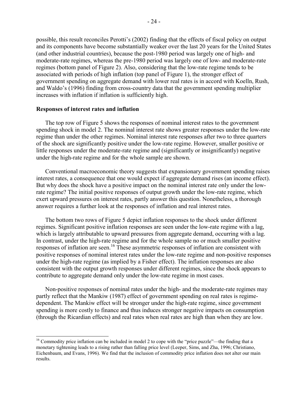possible, this result reconciles Perotti's (2002) finding that the effects of fiscal policy on output and its components have become substantially weaker over the last 20 years for the United States (and other industrial countries), because the post-1980 period was largely one of high- and moderate-rate regimes, whereas the pre-1980 period was largely one of low- and moderate-rate regimes (bottom panel of Figure 2). Also, considering that the low-rate regime tends to be associated with periods of high inflation (top panel of Figure 1), the stronger effect of government spending on aggregate demand with lower real rates is in accord with Koelln, Rush, and Waldo's (1996) finding from cross-country data that the government spending multiplier increases with inflation if inflation is sufficiently high.

### **Responses of interest rates and inflation**

l

The top row of Figure 5 shows the responses of nominal interest rates to the government spending shock in model 2. The nominal interest rate shows greater responses under the low-rate regime than under the other regimes. Nominal interest rate responses after two to three quarters of the shock are significantly positive under the low-rate regime. However, smaller positive or little responses under the moderate-rate regime and (significantly or insignificantly) negative under the high-rate regime and for the whole sample are shown.

Conventional macroeconomic theory suggests that expansionary government spending raises interest rates, a consequence that one would expect if aggregate demand rises (an income effect). But why does the shock have a positive impact on the nominal interest rate only under the lowrate regime? The initial positive responses of output growth under the low-rate regime, which exert upward pressures on interest rates, partly answer this question. Nonetheless, a thorough answer requires a further look at the responses of inflation and real interest rates.

The bottom two rows of Figure 5 depict inflation responses to the shock under different regimes. Significant positive inflation responses are seen under the low-rate regime with a lag, which is largely attributable to upward pressures from aggregate demand, occurring with a lag. In contrast, under the high-rate regime and for the whole sample no or much smaller positive responses of inflation are seen.<sup>16</sup> These asymmetric responses of inflation are consistent with positive responses of nominal interest rates under the low-rate regime and non-positive responses under the high-rate regime (as implied by a Fisher effect). The inflation responses are also consistent with the output growth responses under different regimes, since the shock appears to contribute to aggregate demand only under the low-rate regime in most cases.

Non-positive responses of nominal rates under the high- and the moderate-rate regimes may partly reflect that the Mankiw (1987) effect of government spending on real rates is regimedependent. The Mankiw effect will be stronger under the high-rate regime, since government spending is more costly to finance and thus induces stronger negative impacts on consumption (through the Ricardian effects) and real rates when real rates are high than when they are low.

<sup>&</sup>lt;sup>16</sup> Commodity price inflation can be included in model 2 to cope with the "price puzzle"—the finding that a monetary tightening leads to a rising rather than falling price level (Leeper, Sims, and Zha, 1996; Christiano, Eichenbaum, and Evans, 1996). We find that the inclusion of commodity price inflation does not alter our main results.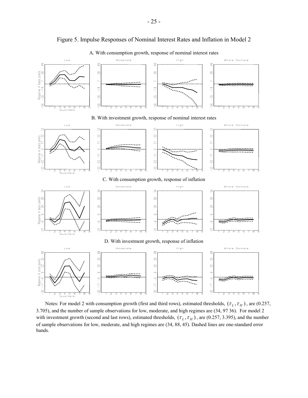

Figure 5. Impulse Responses of Nominal Interest Rates and Inflation in Model 2

A. With consumption growth, response of nominal interest rates

Notes: For model 2 with consumption growth (first and third rows), estimated thresholds,  $(\tau_L, \tau_H)$ , are (0.257, 3.705), and the number of sample observations for low, moderate, and high regimes are (34, 97 36). For model 2 with investment growth (second and last rows), estimated thresholds,  $(\tau_L, \tau_H)$ , are (0.257, 3.395), and the number of sample observations for low, moderate, and high regimes are (34, 88, 45). Dashed lines are one-standard error bands.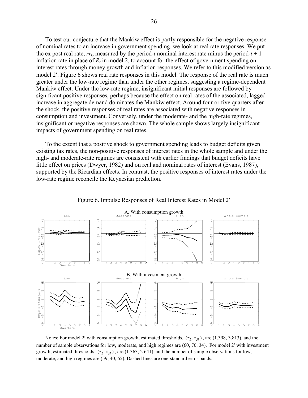To test our conjecture that the Mankiw effect is partly responsible for the negative response of nominal rates to an increase in government spending, we look at real rate responses. We put the ex post real rate,  $rr_t$ , measured by the period-t nominal interest rate minus the period- $t + 1$ inflation rate in place of  $R_t$  in model 2, to account for the effect of government spending on interest rates through money growth and inflation responses. We refer to this modified version as model 2′. Figure 6 shows real rate responses in this model. The response of the real rate is much greater under the low-rate regime than under the other regimes, suggesting a regime-dependent Mankiw effect. Under the low-rate regime, insignificant initial responses are followed by significant positive responses, perhaps because the effect on real rates of the associated, lagged increase in aggregate demand dominates the Mankiw effect. Around four or five quarters after the shock, the positive responses of real rates are associated with negative responses in consumption and investment. Conversely, under the moderate- and the high-rate regimes, insignificant or negative responses are shown. The whole sample shows largely insignificant impacts of government spending on real rates.

To the extent that a positive shock to government spending leads to budget deficits given existing tax rates, the non-positive responses of interest rates in the whole sample and under the high- and moderate-rate regimes are consistent with earlier findings that budget deficits have little effect on prices (Dwyer, 1982) and on real and nominal rates of interest (Evans, 1987), supported by the Ricardian effects. In contrast, the positive responses of interest rates under the low-rate regime reconcile the Keynesian prediction.



Figure 6. Impulse Responses of Real Interest Rates in Model 2′

Notes: For model 2' with consumption growth, estimated thresholds,  $(\tau_L, \tau_H)$ , are (1.398, 3.813), and the number of sample observations for low, moderate, and high regimes are (60, 70, 34). For model 2′ with investment growth, estimated thresholds,  $(\tau_L, \tau_H)$ , are (1.363, 2.641), and the number of sample observations for low, moderate, and high regimes are (59, 40, 65). Dashed lines are one-standard error bands.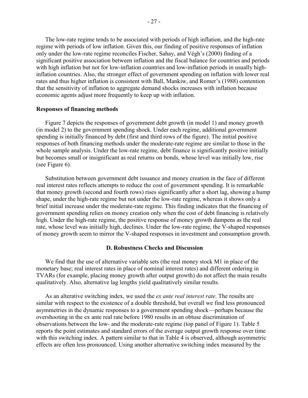The low-rate regime tends to be associated with periods of high inflation, and the high-rate regime with periods of low inflation. Given this, our finding of positive responses of inflation only under the low-rate regime reconciles Fischer, Sahay, and Végh's (2000) finding of a significant positive association between inflation and the fiscal balance for countries and periods with high inflation but not for low-inflation countries and low-inflation periods in usually highinflation countries. Also, the stronger effect of government spending on inflation with lower real rates and thus higher inflation is consistent with Ball, Mankiw, and Romer's (1988) contention that the sensitivity of inflation to aggregate demand shocks increases with inflation because economic agents adjust more frequently to keep up with inflation.

## **Responses of financing methods**

Figure 7 depicts the responses of government debt growth (in model 1) and money growth (in model 2) to the government spending shock. Under each regime, additional government spending is initially financed by debt (first and third rows of the figure). The initial positive responses of both financing methods under the moderate-rate regime are similar to those in the whole sample analysis. Under the low-rate regime, debt finance is significantly positive initially but becomes small or insignificant as real returns on bonds, whose level was initially low, rise (see Figure 6).

Substitution between government debt issuance and money creation in the face of different real interest rates reflects attempts to reduce the cost of government spending. It is remarkable that money growth (second and fourth rows) rises significantly after a short lag, showing a hump shape, under the high-rate regime but not under the low-rate regime, whereas it shows only a brief initial increase under the moderate-rate regime. This finding indicates that the financing of government spending relies on money creation only when the cost of debt financing is relatively high. Under the high-rate regime, the positive response of money growth dampens as the real rate, whose level was initially high, declines. Under the low-rate regime, the V-shaped responses of money growth seem to mirror the V-shaped responses in investment and consumption growth.

# **D. Robustness Checks and Discussion**

We find that the use of alternative variable sets (the real money stock M1 in place of the monetary base; real interest rates in place of nominal interest rates) and different ordering in TVARs (for example, placing money growth after output growth) do not affect the main results qualitatively. Also, alternative lag lengths yield qualitatively similar results.

As an alterative switching index, we used the *ex ante real interest rate*. The results are similar with respect to the existence of a double threshold, but overall we find less pronounced asymmetries in the dynamic responses to a government spending shock—perhaps because the overshooting in the ex ante real rate before 1980 results in an obtuse discrimination of observations between the low- and the moderate-rate regime (top panel of Figure 1). Table 5 reports the point estimates and standard errors of the average output growth response over time with this switching index. A pattern similar to that in Table 4 is observed, although asymmetric effects are often less pronounced. Using another alternative switching index measured by the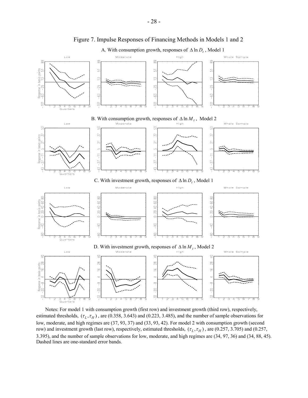

Figure 7. Impulse Responses of Financing Methods in Models 1 and 2

A. With consumption growth, responses of  $\Delta \ln D_t$ , Model 1

Notes: For model 1 with consumption growth (first row) and investment growth (third row), respectively, estimated thresholds,  $(\tau_L, \tau_H)$ , are (0.358, 3.643) and (0.223, 3.485), and the number of sample observations for low, moderate, and high regimes are (37, 93, 37) and (33, 93, 42). For model 2 with consumption growth (second row) and investment growth (last row), respectively, estimated thresholds,  $(\tau_L, \tau_H)$ , are (0.257, 3.705) and (0.257, 3.395), and the number of sample observations for low, moderate, and high regimes are (34, 97, 36) and (34, 88, 45). Dashed lines are one-standard error bands.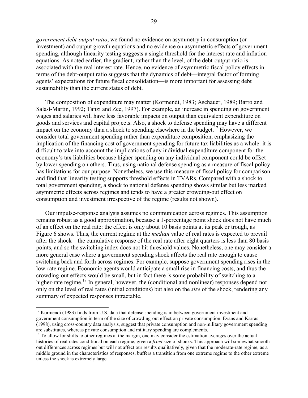*government debt-output ratio*, we found no evidence on asymmetry in consumption (or investment) and output growth equations and no evidence on asymmetric effects of government spending, although linearity testing suggests a single threshold for the interest rate and inflation equations. As noted earlier, the gradient, rather than the level, of the debt-output ratio is associated with the real interest rate. Hence, no evidence of asymmetric fiscal policy effects in terms of the debt-output ratio suggests that the dynamics of debt—integral factor of forming agents' expectations for future fiscal consolidation—is more important for assessing debt sustainability than the current status of debt.

The composition of expenditure may matter (Kormendi, 1983; Aschauer, 1989; Barro and Sala-ì-Martin, 1992; Tanzi and Zee, 1997). For example, an increase in spending on government wages and salaries will have less favorable impacts on output than equivalent expenditure on goods and services and capital projects. Also, a shock to defense spending may have a different impact on the economy than a shock to spending elsewhere in the budget.<sup>17</sup> However, we consider total government spending rather than expenditure composition, emphasizing the implication of the financing cost of government spending for future tax liabilities as a whole: it is difficult to take into account the implications of any individual expenditure component for the economy's tax liabilities because higher spending on any individual component could be offset by lower spending on others. Thus, using national defense spending as a measure of fiscal policy has limitations for our purpose. Nonetheless, we use this measure of fiscal policy for comparison and find that linearity testing supports threshold effects in TVARs. Compared with a shock to total government spending, a shock to national defense spending shows similar but less marked asymmetric effects across regimes and tends to have a greater crowding-out effect on consumption and investment irrespective of the regime (results not shown).

Our impulse-response analysis assumes no communication across regimes. This assumption remains robust as a good approximation, because a 1-percentage point shock does not have much of an effect on the real rate: the effect is only about 10 basis points at its peak or trough, as Figure 6 shows. Thus, the current regime at the *median* value of real rates is expected to prevail after the shock—the cumulative response of the real rate after eight quarters is less than 80 basis points, and so the switching index does not hit threshold values. Nonetheless, one may consider a more general case where a government spending shock affects the real rate enough to cause switching back and forth across regimes. For example, suppose government spending rises in the low-rate regime. Economic agents would anticipate a small rise in financing costs, and thus the crowding-out effects would be small, but in fact there is some probability of switching to a higher-rate regime.<sup>18</sup> In general, however, the (conditional and nonlinear) responses depend not only on the level of real rates (initial conditions) but also on the *size* of the shock, rendering any summary of expected responses intractable.

<sup>&</sup>lt;sup>17</sup> Kormendi (1983) finds from U.S. data that defense spending is in between government investment and government consumption in term of the size of crowding-out effect on private consumption. Evans and Karras (1998), using cross-country data analysis, suggest that private consumption and non-military government spending are substitutes, whereas private consumption and military spending are complements.

<sup>&</sup>lt;sup>18</sup> To allow for shifts to other regimes at the margin, one may consider the estimation averages over the actual histories of real rates conditional on each regime, given a *fixed* size of shocks. This approach will somewhat smooth out differences across regimes but will not affect our results qualitatively, given that the moderate-rate regime, as a middle ground in the characteristics of responses, buffers a transition from one extreme regime to the other extreme unless the shock is extremely large.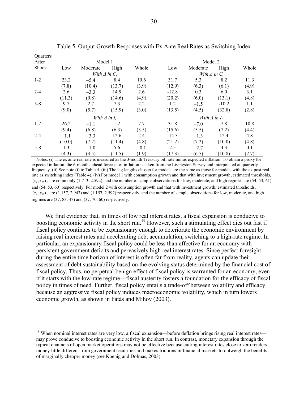| <b>Ouarters</b> |        |                        |        |        |         |                        |         |       |  |  |
|-----------------|--------|------------------------|--------|--------|---------|------------------------|---------|-------|--|--|
| After           |        | Model 1                |        |        |         | Model 2                |         |       |  |  |
| Shock           | Low    | Moderate               | High   | Whole  | Low     | Moderate               | High    | Whole |  |  |
|                 |        | With $\Delta$ ln $C_t$ |        |        |         | With $\Delta$ ln $C_t$ |         |       |  |  |
| $1 - 2$         | 23.2   | $-5.4$                 | 8.4    | 10.6   | 31.7    | 5.3                    | 8.2     | 11.3  |  |  |
|                 | (7.8)  | (10.4)                 | (13.7) | (3.9)  | (12.9)  | (6.3)                  | (6.1)   | (4.9) |  |  |
| $2 - 4$         | 2.6    | $-3.3$                 | 14.9   | 2.6    | $-12.8$ | 0.3                    | 6.0     | 3.1   |  |  |
|                 | (11.3) | (9.8)                  | (14.6) | (4.9)  | (20.2)  | (6.0)                  | (13.1)  | (4.8) |  |  |
| $5 - 8$         | 9.7    | 2.7                    | 7.3    | 2.2    | 1.2     | $-1.5$                 | $-10.2$ | 1.1   |  |  |
|                 | (9.0)  | (5.7)                  | (15.9) | (3.0)  | (13.5)  | (4.5)                  | (32.8)  | (2.8) |  |  |
|                 |        | With $\Delta$ ln $I_t$ |        |        |         | With $\Delta$ ln $I_t$ |         |       |  |  |
| $1 - 2$         | 26.2   | $-1.1$                 | 1.2    | 7.7    | 31.8    | $-7.0$                 | 7.8     | 10.8  |  |  |
|                 | (9.4)  | (6.8)                  | (6.3)  | (3.5)  | (15.6)  | (5.5)                  | (7.2)   | (4.4) |  |  |
| $2 - 4$         | $-1.1$ | $-3.3$                 | 12.6   | 2.4    | $-14.3$ | $-1.3$                 | 12.4    | 4.8   |  |  |
|                 | (10.0) | (7.2)                  | (11.4) | (4.8)  | (21.2)  | (7.2)                  | (10.0)  | (4.8) |  |  |
| $5 - 8$         | 1.3    | $-1.0$                 | 5.6    | $-0.1$ | 2.5     | $-2.7$                 | 4.3     | 0.1   |  |  |
|                 | (4.3)  | (3.5)                  | (11.5) | (1.9)  | (17.3)  | (6.5)                  | (10.8)  | (2.7) |  |  |

Table 5. Output Growth Responses with Ex Ante Real Rates as Switching Index

Notes: (i) The ex ante real rate is measured as the 3-month Treasury bill rate minus expected inflation. To obtain a proxy for expected inflation, the 6-months-ahead forecast of inflation is taken from the Livingston Survey and interpolated at quarterly frequency. (ii) See note (i) to Table 4. (iii) The lag lengths chosen for models are the same as those for models with the ex post real rate as switching index (Table 4). (iv) For model 1 with consumption growth and that with investment growth, estimated thresholds,  $(\tau_i, \tau_{\mu})$ , are commonly (1.713, 2.592), and the number of sample observations for low, moderate, and high regimes are (54, 53, 61) and (54, 53, 60) respectively. For model 2 with consumption growth and that with investment growth, estimated thresholds,  $(\tau_L, \tau_H)$ , are (1.157, 2.943) and (1.157, 2.592) respectively, and the number of sample observations for low, moderate, and high regimes are (37, 83, 47) and (37, 70, 60) respectively.

We find evidence that, in times of low real interest rates, a fiscal expansion is conducive to boosting economic activity in the short run.<sup>19</sup> However, such a stimulating effect dies out fast if fiscal policy continues to be expansionary enough to deteriorate the economic environment by raising real interest rates and accelerating debt accumulation, switching to a high-rate regime. In particular, an expansionary fiscal policy could be less than effective for an economy with persistent government deficits and pervasively high real interest rates. Since perfect foresight during the entire time horizon of interest is often far from reality, agents can update their assessment of debt sustainability based on the evolving status determined by the financial cost of fiscal policy. Thus, no perpetual benign effect of fiscal policy is warranted for an economy, even if it starts with the low-rate regime—fiscal austerity fosters a foundation for the efficacy of fiscal policy in times of need. Further, fiscal policy entails a trade-off between volatility and efficacy because an aggressive fiscal policy induces macroeconomic volatility, which in turn lowers economic growth, as shown in Fatás and Mihov (2003).

<sup>&</sup>lt;sup>19</sup> When nominal interest rates are very low, a fiscal expansion—before deflation brings rising real interest rates may prove conducive to boosting economic activity in the short run. In contrast, monetary expansion through the typical channels of open market operations may not be effective because cutting interest rates close to zero renders money little different from government securities and makes frictions in financial markets to outweigh the benefits of marginally cheaper money (see Koenig and Dolmas, 2003).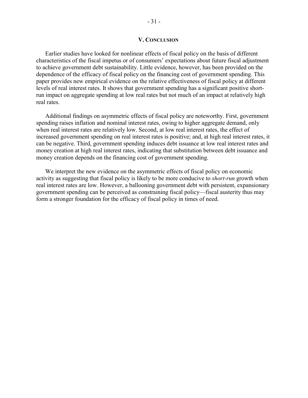# **V. CONCLUSION**

Earlier studies have looked for nonlinear effects of fiscal policy on the basis of different characteristics of the fiscal impetus or of consumers' expectations about future fiscal adjustment to achieve government debt sustainability. Little evidence, however, has been provided on the dependence of the efficacy of fiscal policy on the financing cost of government spending. This paper provides new empirical evidence on the relative effectiveness of fiscal policy at different levels of real interest rates. It shows that government spending has a significant positive shortrun impact on aggregate spending at low real rates but not much of an impact at relatively high real rates.

Additional findings on asymmetric effects of fiscal policy are noteworthy. First, government spending raises inflation and nominal interest rates, owing to higher aggregate demand, only when real interest rates are relatively low. Second, at low real interest rates, the effect of increased government spending on real interest rates is positive; and, at high real interest rates, it can be negative. Third, government spending induces debt issuance at low real interest rates and money creation at high real interest rates, indicating that substitution between debt issuance and money creation depends on the financing cost of government spending.

We interpret the new evidence on the asymmetric effects of fiscal policy on economic activity as suggesting that fiscal policy is likely to be more conducive to *short-run* growth when real interest rates are low. However, a ballooning government debt with persistent, expansionary government spending can be perceived as constraining fiscal policy—fiscal austerity thus may form a stronger foundation for the efficacy of fiscal policy in times of need.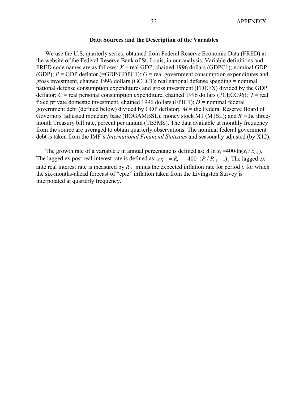## **Data Sources and the Description of the Variables**

We use the U.S. quarterly series, obtained from Federal Reserve Economic Data (FRED) at the website of the Federal Reserve Bank of St. Louis, in our analysis. Variable definitions and FRED code names are as follows: *X* = real GDP, chained 1996 dollars (GDPC1); nominal GDP (GDP);  $P = GDP$  deflator (=GDP/GDPC1);  $G = real$  government consumption expenditures and gross investment, chained 1996 dollars (GCEC1); real national defense spending = nominal national defense consumption expenditures and gross investment (FDEFX) divided by the GDP deflator; *C* = real personal consumption expenditure, chained 1996 dollars (PCECC96); *I* = real fixed private domestic investment, chained 1996 dollars (FPIC1);  $D =$  nominal federal government debt (defined below) divided by GDP deflator; *M* = the Federal Reserve Board of Governors' adjusted monetary base (BOGAMBSL); money stock M1 (M1SL); and *R =*the threemonth Treasury bill rate, percent per annum (TB3MS). The data available at monthly frequency from the source are averaged to obtain quarterly observations. The nominal federal government debt is taken from the IMF's *International Financial Statistics* and seasonally adjusted (by X12).

The growth rate of a variable *x* in annual percentage is defined as:  $\Delta \ln x_t = 400 \cdot \ln(x_t / x_{t-1})$ . The lagged ex post real interest rate is defined as:  $rr_{t-1} = R_{t-1} - 400 \cdot (P_t/P_{t-1} - 1)$ . The lagged ex ante real interest rate is measured by  $R_{t-1}$  minus the expected inflation rate for period *t*, for which the six-months-ahead forecast of "cpiz" inflation taken from the Livingston Survey is interpolated at quarterly frequency.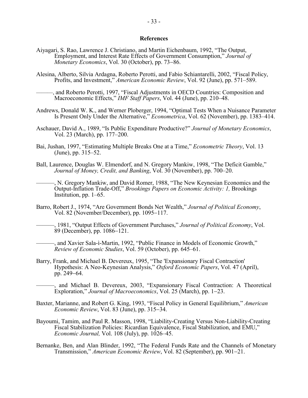#### **References**

- Aiyagari, S. Rao, Lawrence J. Christiano, and Martin Eichenbaum, 1992, "The Output, Employment, and Interest Rate Effects of Government Consumption," *Journal of Monetary Economics*, Vol. 30 (October), pp. 73−86.
- Alesina, Alberto, Silvia Ardagna, Roberto Perotti, and Fabio Schiantarelli, 2002, "Fiscal Policy, Profits, and Investment," *American Economic Review*, Vol. 92 (June), pp. 571–589.
	- -, and Roberto Perotti, 1997, "Fiscal Adjustments in OECD Countries: Composition and Macroeconomic Effects," *IMF Staff Papers*, Vol. 44 (June), pp. 210–48.
- Andrews, Donald W. K., and Werner Ploberger, 1994, "Optimal Tests When a Nuisance Parameter Is Present Only Under the Alternative," *Econometrica*, Vol. 62 (November), pp. 1383–414.
- Aschauer, David A., 1989, "Is Public Expenditure Productive?" *Journal of Monetary Economics*, Vol. 23 (March), pp. 177–200.
- Bai, Jushan, 1997, "Estimating Multiple Breaks One at a Time," *Econometric Theory*, Vol. 13 (June), pp. 315–52.
- Ball, Laurence, Douglas W. Elmendorf, and N. Gregory Mankiw, 1998, "The Deficit Gamble," *Journal of Money, Credit, and Banking*, Vol. 30 (November), pp. 700–20.

———, N. Gregory Mankiw, and David Romer, 1988, "The New Keynesian Economics and the Output-Inflation Trade-Off," *Brookings Papers on Economic Activity: 1,* Brookings Institution, pp. 1–65.

- Barro, Robert J., 1974, "Are Government Bonds Net Wealth," *Journal of Political Economy*, Vol. 82 (November/December), pp. 1095−117.
	- ———, 1981, "Output Effects of Government Purchases," *Journal of Political Economy*, Vol. 89 (December), pp. 1086−121.

-, and Xavier Sala-ì-Martin, 1992, "Public Finance in Models of Economic Growth," *Review of Economic Studies*, Vol. 59 (October), pp. 645–61.

Barry, Frank, and Michael B. Devereux, 1995, "The 'Expansionary Fiscal Contraction' Hypothesis: A Neo-Keynesian Analysis," *Oxford Economic Papers*, Vol. 47 (April), pp. 249−64.

———, and Michael B. Devereux, 2003, "Expansionary Fiscal Contraction: A Theoretical Exploration," *Journal of Macroeconomics*, Vol. 25 (March), pp. 1−23.

- Baxter, Marianne, and Robert G. King, 1993, "Fiscal Policy in General Equilibrium," *American Economic Review*, Vol. 83 (June), pp. 315−34.
- Bayoumi, Tamim, and Paul R. Masson, 1998, "Liability-Creating Versus Non-Liability-Creating Fiscal Stabilization Policies: Ricardian Equivalence, Fiscal Stabilization, and EMU," *Economic Journal,* Vol. 108 (July), pp. 1026–45.
- Bernanke, Ben, and Alan Blinder, 1992, "The Federal Funds Rate and the Channels of Monetary Transmission," *American Economic Review*, Vol. 82 (September), pp. 901−21.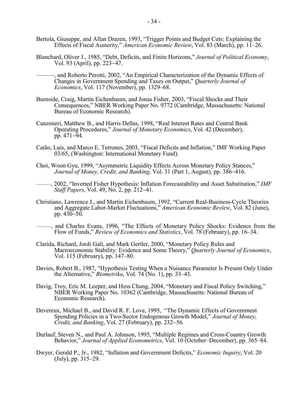- Bertola, Giuseppe, and Allan Drazen, 1993, "Trigger Points and Budget Cuts: Explaining the Effects of Fiscal Austerity," *American Economic Review*, Vol. 83 (March), pp. 11–26.
- Blanchard, Oliver J., 1985, "Debt, Deficits, and Finite Horizons," *Journal of Political Economy*, Vol. 93 (April), pp. 223<sup>−</sup>47.
	- ———, and Roberto Perotti, 2002, "An Empirical Characterization of the Dynamic Effects of Changes in Government Spending and Taxes on Output," *Quarterly Journal of Economics*, Vol. 117 (November), pp. 1329–68.
- Burnside, Craig, Martin Eichenbaum, and Jonas Fisher, 2003, "Fiscal Shocks and Their Consequences," NBER Working Paper No. 9772 (Cambridge, Massachusetts: National Bureau of Economic Research).
- Canzoneri, Matthew B., and Harris Dellas, 1998, "Real Interest Rates and Central Bank Operating Procedures," *Journal of Monetary Economics*, Vol. 42 (December), pp. 471−94.
- Catão, Luis, and Marco E. Terrones, 2003, "Fiscal Deficits and Inflation," IMF Working Paper 03/65, (Washington: International Monetary Fund).
- Choi, Woon Gyu, 1999, "Asymmetric Liquidity Effects Across Monetary Policy Stances," *Journal of Money, Credit, and Banking*, Vol. 31 (Part 1, August), pp. 386−416.
- ———, 2002, "Inverted Fisher Hypothesis: Inflation Forecastability and Asset Substitution," *IMF Staff Papers*, Vol. 49, No. 2, pp. 212−41.
- Christiano, Lawrence J., and Martin Eichenbaum, 1992, "Current Real-Business-Cycle Theories and Aggregate Labor-Market Fluctuations," *American Economic Review*, Vol. 82 (June), pp. 430−50.
- ———, and Charles Evans, 1996, "The Effects of Monetary Policy Shocks: Evidence from the Flow of Funds," *Review of Economics and Statistics*, Vol. 78 (February), pp. 16–34.
- Clarida, Richard, Jordi Galí, and Mark Gertler, 2000, "Monetary Policy Rules and Macroeconomic Stability: Evidence and Some Theory," *Quarterly Journal of Economics*, Vol. 115 (February), pp. 147–80.
- Davies, Robert B., 1987, "Hypothesis Testing When a Nuisance Parameter Is Present Only Under the Alternative," *Biometrika*, Vol. 74 (No. 1), pp. 33–43.
- Davig, Troy, Eric M. Leeper, and Hess Chung, 2004, "Monetary and Fiscal Policy Switching," NBER Working Paper No. 10362 (Cambridge, Massachusetts: National Bureau of Economic Research).
- Devereux, Michael B., and David R. F. Love, 1995, "The Dynamic Effects of Government Spending Policies in a Two-Sector Endogenous Growth Model," *Journal of Money, Credit, and Banking*, Vol. 27 (February), pp. 232−56.
- Durlauf, Steven N., and Paul A. Johnson, 1995, "Multiple Regimes and Cross-Country Growth Behavior," *Journal of Applied Econometrics*, Vol. 10 (October–December), pp. 365–84.
- Dwyer, Gerald P., Jr., 1982, "Inflation and Government Deficits," *Economic Inquiry*, Vol. 20 (July), pp. 315–29.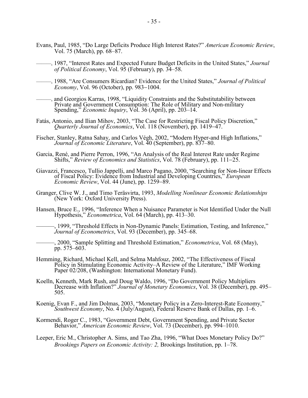- Evans, Paul, 1985, "Do Large Deficits Produce High Interest Rates?" *American Economic Review*, Vol. 75 (March), pp. 68–87.
	- ———, 1987, "Interest Rates and Expected Future Budget Deficits in the United States," *Journal of Political Economy*, Vol. 95 (February), pp. 34–58.
- ———, 1988, "Are Consumers Ricardian? Evidence for the United States," *Journal of Political Economy*, Vol. 96 (October), pp. 983−1004.
- ———, and Georgios Karras, 1998, "Liquidity Constraints and the Substitutability between Private and Government Consumption: The Role of Military and Non-military Spending," *Economic Inquiry*, Vol. 36 (April), pp. 203–14.
- Fatás, Antonio, and Ilian Mihov, 2003, "The Case for Restricting Fiscal Policy Discretion," *Quarterly Journal of Economics*, Vol. 118 (November), pp. 1419−47.
- Fischer, Stanley, Ratna Sahay, and Carlos Végh, 2002, "Modern Hyper-and High Inflations," *Journal of Economic Literature*, Vol. 40 (September), pp. 837–80.
- Garcia, René, and Pierre Perron, 1996, "An Analysis of the Real Interest Rate under Regime Shifts," *Review of Economics and Statistics*, Vol. 78 (February), pp. 111−25.
- Giavazzi, Francesco, Tullio Jappelli, and Marco Pagano, 2000, "Searching for Non-linear Effects of Fiscal Policy: Evidence from Industrial and Developing Countries," *European Economic Review*, Vol. 44 (June), pp. 1259−89.
- Granger, Clive W. J., and Timo Teräsvirta, 1993, *Modelling Nonlinear Economic Relationships* (New York: Oxford University Press).
- Hansen, Bruce E., 1996, "Inference When a Nuisance Parameter is Not Identified Under the Null Hypothesis," *Econometrica*, Vol. 64 (March), pp. 413–30.

———, 1999, "Threshold Effects in Non-Dynamic Panels: Estimation, Testing, and Inference," *Journal of Econometrics*, Vol. 93 (December), pp. 345–68.

- ———, 2000, "Sample Splitting and Threshold Estimation," *Econometrica*, Vol. 68 (May), pp. 575–603.
- Hemming, Richard, Michael Kell, and Selma Mahfouz, 2002, "The Effectiveness of Fiscal Policy in Stimulating Economic Activity–A Review of the Literature," IMF Working Paper 02/208, (Washington: International Monetary Fund).
- Koelln, Kenneth, Mark Rush, and Doug Waldo, 1996, "Do Government Policy Multipliers Decrease with Inflation?" *Journal of Monetary Economics*, Vol. 38 (December), pp. 495– 505.
- Koenig, Evan F., and Jim Dolmas, 2003, "Monetary Policy in a Zero-Interest-Rate Economy," *Southwest Economy*, No. 4 (July/August), Federal Reserve Bank of Dallas, pp. 1–6.
- Kormendi, Roger C., 1983, "Government Debt, Government Spending, and Private Sector Behavior," *American Economic Review*, Vol. 73 (December), pp. 994–1010.
- Leeper, Eric M., Christopher A. Sims, and Tao Zha, 1996, "What Does Monetary Policy Do?" *Brookings Papers on Economic Activity: 2,* Brookings Institution, pp. 1–78.